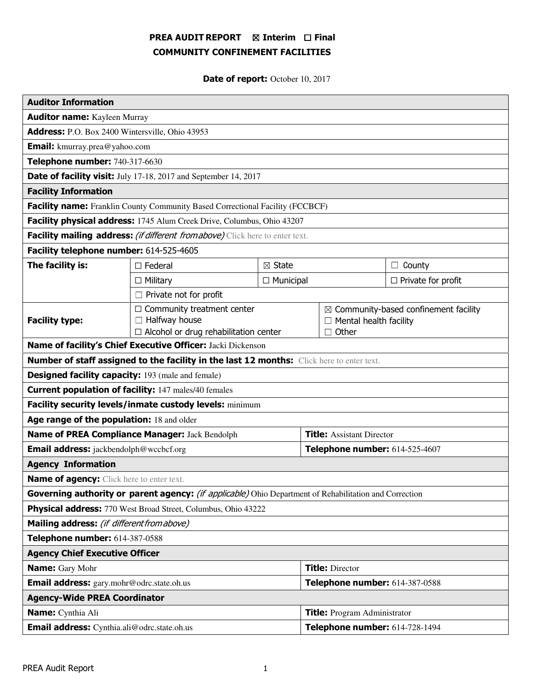# PREA AUDIT REPORT ⊠ Interim □ Final COMMUNITY CONFINEMENT FACILITIES

Date of report: October 10, 2017

| <b>Auditor Information</b>                                                                             |                                                                                                           |  |                                                                                                   |                  |                           |
|--------------------------------------------------------------------------------------------------------|-----------------------------------------------------------------------------------------------------------|--|---------------------------------------------------------------------------------------------------|------------------|---------------------------|
| <b>Auditor name:</b> Kayleen Murray                                                                    |                                                                                                           |  |                                                                                                   |                  |                           |
| Address: P.O. Box 2400 Wintersville, Ohio 43953                                                        |                                                                                                           |  |                                                                                                   |                  |                           |
| <b>Email:</b> kmurray.prea@yahoo.com                                                                   |                                                                                                           |  |                                                                                                   |                  |                           |
| Telephone number: 740-317-6630                                                                         |                                                                                                           |  |                                                                                                   |                  |                           |
| Date of facility visit: July 17-18, 2017 and September 14, 2017                                        |                                                                                                           |  |                                                                                                   |                  |                           |
| <b>Facility Information</b>                                                                            |                                                                                                           |  |                                                                                                   |                  |                           |
| Facility name: Franklin County Community Based Correctional Facility (FCCBCF)                          |                                                                                                           |  |                                                                                                   |                  |                           |
| Facility physical address: 1745 Alum Creek Drive, Columbus, Ohio 43207                                 |                                                                                                           |  |                                                                                                   |                  |                           |
| Facility mailing address: (if different from above) Click here to enter text.                          |                                                                                                           |  |                                                                                                   |                  |                           |
| Facility telephone number: 614-525-4605                                                                |                                                                                                           |  |                                                                                                   |                  |                           |
| The facility is:                                                                                       | $\boxtimes$ State<br>$\Box$ Federal<br>$\Box$ Municipal<br>$\Box$ Military                                |  |                                                                                                   | County<br>$\Box$ |                           |
|                                                                                                        |                                                                                                           |  |                                                                                                   |                  | $\Box$ Private for profit |
| $\Box$ Private not for profit                                                                          |                                                                                                           |  |                                                                                                   |                  |                           |
| <b>Facility type:</b>                                                                                  | $\Box$ Community treatment center<br>$\Box$ Halfway house<br>$\Box$ Alcohol or drug rehabilitation center |  | $\boxtimes$ Community-based confinement facility<br>$\Box$ Mental health facility<br>$\Box$ Other |                  |                           |
| Name of facility's Chief Executive Officer: Jacki Dickenson                                            |                                                                                                           |  |                                                                                                   |                  |                           |
| <b>Number of staff assigned to the facility in the last 12 months:</b> Click here to enter text.       |                                                                                                           |  |                                                                                                   |                  |                           |
| <b>Designed facility capacity:</b> 193 (male and female)                                               |                                                                                                           |  |                                                                                                   |                  |                           |
| <b>Current population of facility:</b> 147 males/40 females                                            |                                                                                                           |  |                                                                                                   |                  |                           |
| Facility security levels/inmate custody levels: minimum                                                |                                                                                                           |  |                                                                                                   |                  |                           |
| Age range of the population: 18 and older                                                              |                                                                                                           |  |                                                                                                   |                  |                           |
| Name of PREA Compliance Manager: Jack Bendolph                                                         |                                                                                                           |  | <b>Title:</b> Assistant Director                                                                  |                  |                           |
| <b>Email address:</b> jackbendolph@wccbcf.org                                                          |                                                                                                           |  | Telephone number: 614-525-4607                                                                    |                  |                           |
| <b>Agency Information</b>                                                                              |                                                                                                           |  |                                                                                                   |                  |                           |
| <b>Name of agency:</b> Click here to enter text.                                                       |                                                                                                           |  |                                                                                                   |                  |                           |
| Governing authority or parent agency: (if applicable) Ohio Department of Rehabilitation and Correction |                                                                                                           |  |                                                                                                   |                  |                           |
| Physical address: 770 West Broad Street, Columbus, Ohio 43222                                          |                                                                                                           |  |                                                                                                   |                  |                           |
| Mailing address: (if different from above)                                                             |                                                                                                           |  |                                                                                                   |                  |                           |
| Telephone number: 614-387-0588                                                                         |                                                                                                           |  |                                                                                                   |                  |                           |
| <b>Agency Chief Executive Officer</b>                                                                  |                                                                                                           |  |                                                                                                   |                  |                           |
| <b>Name:</b> Gary Mohr                                                                                 |                                                                                                           |  | <b>Title: Director</b>                                                                            |                  |                           |
| Email address: gary.mohr@odrc.state.oh.us                                                              |                                                                                                           |  | Telephone number: 614-387-0588                                                                    |                  |                           |
| <b>Agency-Wide PREA Coordinator</b>                                                                    |                                                                                                           |  |                                                                                                   |                  |                           |
| Name: Cynthia Ali                                                                                      |                                                                                                           |  | <b>Title:</b> Program Administrator                                                               |                  |                           |
| Email address: Cynthia.ali@odrc.state.oh.us                                                            |                                                                                                           |  | Telephone number: 614-728-1494                                                                    |                  |                           |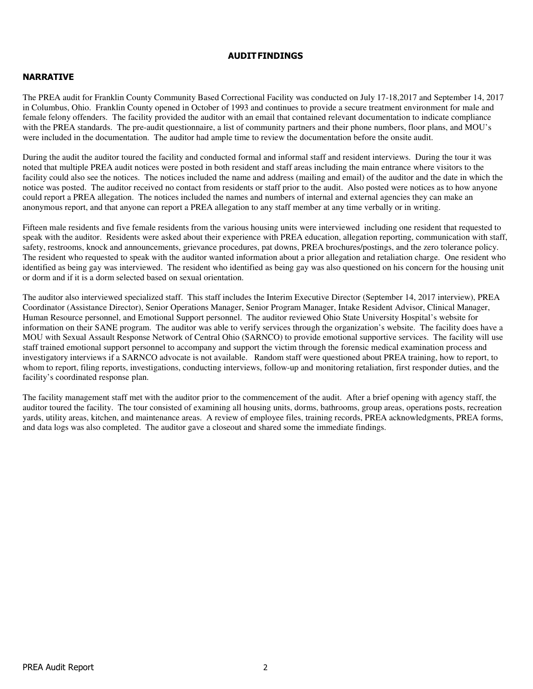#### AUDIT FINDINGS

## NARRATIVE

The PREA audit for Franklin County Community Based Correctional Facility was conducted on July 17-18,2017 and September 14, 2017 in Columbus, Ohio. Franklin County opened in October of 1993 and continues to provide a secure treatment environment for male and female felony offenders. The facility provided the auditor with an email that contained relevant documentation to indicate compliance with the PREA standards. The pre-audit questionnaire, a list of community partners and their phone numbers, floor plans, and MOU's were included in the documentation. The auditor had ample time to review the documentation before the onsite audit.

During the audit the auditor toured the facility and conducted formal and informal staff and resident interviews. During the tour it was noted that multiple PREA audit notices were posted in both resident and staff areas including the main entrance where visitors to the facility could also see the notices. The notices included the name and address (mailing and email) of the auditor and the date in which the notice was posted. The auditor received no contact from residents or staff prior to the audit. Also posted were notices as to how anyone could report a PREA allegation. The notices included the names and numbers of internal and external agencies they can make an anonymous report, and that anyone can report a PREA allegation to any staff member at any time verbally or in writing.

Fifteen male residents and five female residents from the various housing units were interviewed including one resident that requested to speak with the auditor. Residents were asked about their experience with PREA education, allegation reporting, communication with staff, safety, restrooms, knock and announcements, grievance procedures, pat downs, PREA brochures/postings, and the zero tolerance policy. The resident who requested to speak with the auditor wanted information about a prior allegation and retaliation charge. One resident who identified as being gay was interviewed. The resident who identified as being gay was also questioned on his concern for the housing unit or dorm and if it is a dorm selected based on sexual orientation.

The auditor also interviewed specialized staff. This staff includes the Interim Executive Director (September 14, 2017 interview), PREA Coordinator (Assistance Director), Senior Operations Manager, Senior Program Manager, Intake Resident Advisor, Clinical Manager, Human Resource personnel, and Emotional Support personnel. The auditor reviewed Ohio State University Hospital's website for information on their SANE program. The auditor was able to verify services through the organization's website. The facility does have a MOU with Sexual Assault Response Network of Central Ohio (SARNCO) to provide emotional supportive services. The facility will use staff trained emotional support personnel to accompany and support the victim through the forensic medical examination process and investigatory interviews if a SARNCO advocate is not available. Random staff were questioned about PREA training, how to report, to whom to report, filing reports, investigations, conducting interviews, follow-up and monitoring retaliation, first responder duties, and the facility's coordinated response plan.

The facility management staff met with the auditor prior to the commencement of the audit. After a brief opening with agency staff, the auditor toured the facility. The tour consisted of examining all housing units, dorms, bathrooms, group areas, operations posts, recreation yards, utility areas, kitchen, and maintenance areas. A review of employee files, training records, PREA acknowledgments, PREA forms, and data logs was also completed. The auditor gave a closeout and shared some the immediate findings.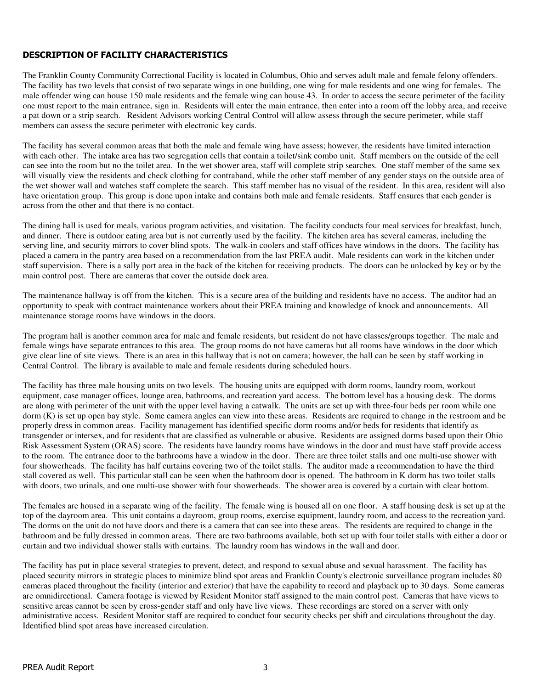# DESCRIPTION OF FACILITY CHARACTERISTICS

The Franklin County Community Correctional Facility is located in Columbus, Ohio and serves adult male and female felony offenders. The facility has two levels that consist of two separate wings in one building, one wing for male residents and one wing for females. The male offender wing can house 150 male residents and the female wing can house 43. In order to access the secure perimeter of the facility one must report to the main entrance, sign in. Residents will enter the main entrance, then enter into a room off the lobby area, and receive a pat down or a strip search. Resident Advisors working Central Control will allow assess through the secure perimeter, while staff members can assess the secure perimeter with electronic key cards.

The facility has several common areas that both the male and female wing have assess; however, the residents have limited interaction with each other. The intake area has two segregation cells that contain a toilet/sink combo unit. Staff members on the outside of the cell can see into the room but no the toilet area. In the wet shower area, staff will complete strip searches. One staff member of the same sex will visually view the residents and check clothing for contraband, while the other staff member of any gender stays on the outside area of the wet shower wall and watches staff complete the search. This staff member has no visual of the resident. In this area, resident will also have orientation group. This group is done upon intake and contains both male and female residents. Staff ensures that each gender is across from the other and that there is no contact.

The dining hall is used for meals, various program activities, and visitation. The facility conducts four meal services for breakfast, lunch, and dinner. There is outdoor eating area but is not currently used by the facility. The kitchen area has several cameras, including the serving line, and security mirrors to cover blind spots. The walk-in coolers and staff offices have windows in the doors. The facility has placed a camera in the pantry area based on a recommendation from the last PREA audit. Male residents can work in the kitchen under staff supervision. There is a sally port area in the back of the kitchen for receiving products. The doors can be unlocked by key or by the main control post. There are cameras that cover the outside dock area.

The maintenance hallway is off from the kitchen. This is a secure area of the building and residents have no access. The auditor had an opportunity to speak with contract maintenance workers about their PREA training and knowledge of knock and announcements. All maintenance storage rooms have windows in the doors.

The program hall is another common area for male and female residents, but resident do not have classes/groups together. The male and female wings have separate entrances to this area. The group rooms do not have cameras but all rooms have windows in the door which give clear line of site views. There is an area in this hallway that is not on camera; however, the hall can be seen by staff working in Central Control. The library is available to male and female residents during scheduled hours.

The facility has three male housing units on two levels. The housing units are equipped with dorm rooms, laundry room, workout equipment, case manager offices, lounge area, bathrooms, and recreation yard access. The bottom level has a housing desk. The dorms are along with perimeter of the unit with the upper level having a catwalk. The units are set up with three-four beds per room while one dorm (K) is set up open bay style. Some camera angles can view into these areas. Residents are required to change in the restroom and be properly dress in common areas. Facility management has identified specific dorm rooms and/or beds for residents that identify as transgender or intersex, and for residents that are classified as vulnerable or abusive. Residents are assigned dorms based upon their Ohio Risk Assessment System (ORAS) score. The residents have laundry rooms have windows in the door and must have staff provide access to the room. The entrance door to the bathrooms have a window in the door. There are three toilet stalls and one multi-use shower with four showerheads. The facility has half curtains covering two of the toilet stalls. The auditor made a recommendation to have the third stall covered as well. This particular stall can be seen when the bathroom door is opened. The bathroom in K dorm has two toilet stalls with doors, two urinals, and one multi-use shower with four showerheads. The shower area is covered by a curtain with clear bottom.

The females are housed in a separate wing of the facility. The female wing is housed all on one floor. A staff housing desk is set up at the top of the dayroom area. This unit contains a dayroom, group rooms, exercise equipment, laundry room, and access to the recreation yard. The dorms on the unit do not have doors and there is a camera that can see into these areas. The residents are required to change in the bathroom and be fully dressed in common areas. There are two bathrooms available, both set up with four toilet stalls with either a door or curtain and two individual shower stalls with curtains. The laundry room has windows in the wall and door.

The facility has put in place several strategies to prevent, detect, and respond to sexual abuse and sexual harassment. The facility has placed security mirrors in strategic places to minimize blind spot areas and Franklin County's electronic surveillance program includes 80 cameras placed throughout the facility (interior and exterior) that have the capability to record and playback up to 30 days. Some cameras are omnidirectional. Camera footage is viewed by Resident Monitor staff assigned to the main control post. Cameras that have views to sensitive areas cannot be seen by cross-gender staff and only have live views. These recordings are stored on a server with only administrative access. Resident Monitor staff are required to conduct four security checks per shift and circulations throughout the day. Identified blind spot areas have increased circulation.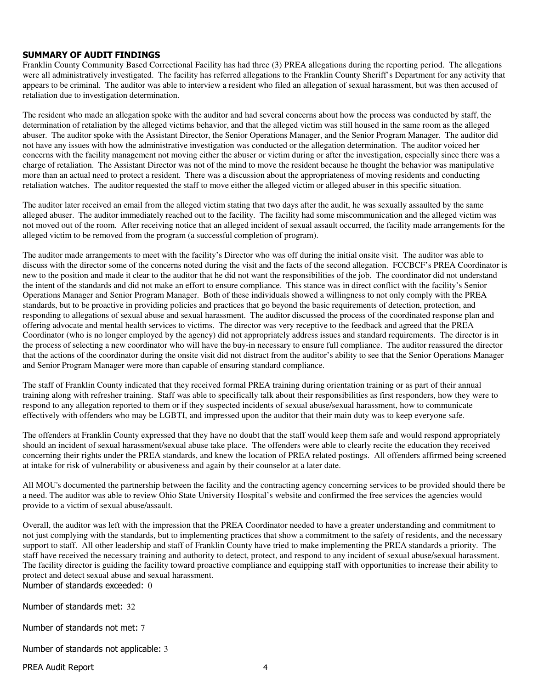## SUMMARY OF AUDIT FINDINGS

Franklin County Community Based Correctional Facility has had three (3) PREA allegations during the reporting period. The allegations were all administratively investigated. The facility has referred allegations to the Franklin County Sheriff's Department for any activity that appears to be criminal. The auditor was able to interview a resident who filed an allegation of sexual harassment, but was then accused of retaliation due to investigation determination.

The resident who made an allegation spoke with the auditor and had several concerns about how the process was conducted by staff, the determination of retaliation by the alleged victims behavior, and that the alleged victim was still housed in the same room as the alleged abuser. The auditor spoke with the Assistant Director, the Senior Operations Manager, and the Senior Program Manager. The auditor did not have any issues with how the administrative investigation was conducted or the allegation determination. The auditor voiced her concerns with the facility management not moving either the abuser or victim during or after the investigation, especially since there was a charge of retaliation. The Assistant Director was not of the mind to move the resident because he thought the behavior was manipulative more than an actual need to protect a resident. There was a discussion about the appropriateness of moving residents and conducting retaliation watches. The auditor requested the staff to move either the alleged victim or alleged abuser in this specific situation.

The auditor later received an email from the alleged victim stating that two days after the audit, he was sexually assaulted by the same alleged abuser. The auditor immediately reached out to the facility. The facility had some miscommunication and the alleged victim was not moved out of the room. After receiving notice that an alleged incident of sexual assault occurred, the facility made arrangements for the alleged victim to be removed from the program (a successful completion of program).

The auditor made arrangements to meet with the facility's Director who was off during the initial onsite visit. The auditor was able to discuss with the director some of the concerns noted during the visit and the facts of the second allegation. FCCBCF's PREA Coordinator is new to the position and made it clear to the auditor that he did not want the responsibilities of the job. The coordinator did not understand the intent of the standards and did not make an effort to ensure compliance. This stance was in direct conflict with the facility's Senior Operations Manager and Senior Program Manager. Both of these individuals showed a willingness to not only comply with the PREA standards, but to be proactive in providing policies and practices that go beyond the basic requirements of detection, protection, and responding to allegations of sexual abuse and sexual harassment. The auditor discussed the process of the coordinated response plan and offering advocate and mental health services to victims. The director was very receptive to the feedback and agreed that the PREA Coordinator (who is no longer employed by the agency) did not appropriately address issues and standard requirements. The director is in the process of selecting a new coordinator who will have the buy-in necessary to ensure full compliance. The auditor reassured the director that the actions of the coordinator during the onsite visit did not distract from the auditor's ability to see that the Senior Operations Manager and Senior Program Manager were more than capable of ensuring standard compliance.

The staff of Franklin County indicated that they received formal PREA training during orientation training or as part of their annual training along with refresher training. Staff was able to specifically talk about their responsibilities as first responders, how they were to respond to any allegation reported to them or if they suspected incidents of sexual abuse/sexual harassment, how to communicate effectively with offenders who may be LGBTI, and impressed upon the auditor that their main duty was to keep everyone safe.

The offenders at Franklin County expressed that they have no doubt that the staff would keep them safe and would respond appropriately should an incident of sexual harassment/sexual abuse take place. The offenders were able to clearly recite the education they received concerning their rights under the PREA standards, and knew the location of PREA related postings. All offenders affirmed being screened at intake for risk of vulnerability or abusiveness and again by their counselor at a later date.

All MOU's documented the partnership between the facility and the contracting agency concerning services to be provided should there be a need. The auditor was able to review Ohio State University Hospital's website and confirmed the free services the agencies would provide to a victim of sexual abuse/assault.

Overall, the auditor was left with the impression that the PREA Coordinator needed to have a greater understanding and commitment to not just complying with the standards, but to implementing practices that show a commitment to the safety of residents, and the necessary support to staff. All other leadership and staff of Franklin County have tried to make implementing the PREA standards a priority. The staff have received the necessary training and authority to detect, protect, and respond to any incident of sexual abuse/sexual harassment. The facility director is guiding the facility toward proactive compliance and equipping staff with opportunities to increase their ability to protect and detect sexual abuse and sexual harassment. Number of standards exceeded: 0

Number of standards met: 32

Number of standards not met: 7

Number of standards not applicable: 3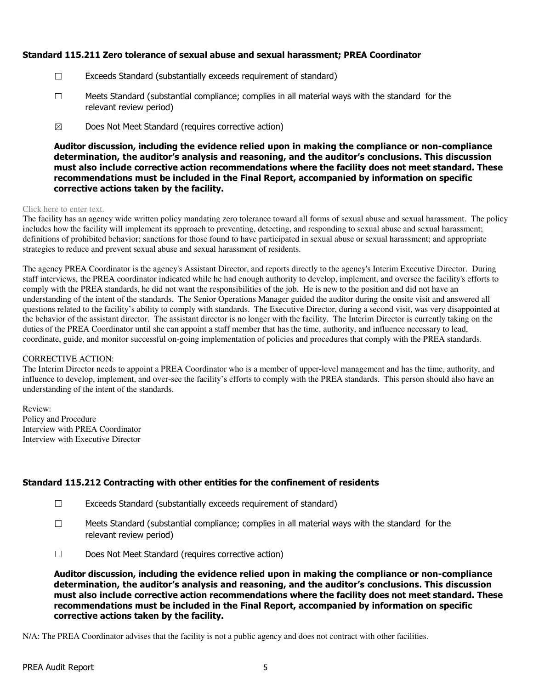# Standard 115.211 Zero tolerance of sexual abuse and sexual harassment; PREA Coordinator

- ☐ Exceeds Standard (substantially exceeds requirement of standard)
- $\square$  Meets Standard (substantial compliance; complies in all material ways with the standard for the relevant review period)
- $\boxtimes$  Does Not Meet Standard (requires corrective action)

Auditor discussion, including the evidence relied upon in making the compliance or non-compliance determination, the auditor's analysis and reasoning, and the auditor's conclusions. This discussion must also include corrective action recommendations where the facility does not meet standard. These recommendations must be included in the Final Report, accompanied by information on specific corrective actions taken by the facility.

#### Click here to enter text.

The facility has an agency wide written policy mandating zero tolerance toward all forms of sexual abuse and sexual harassment. The policy includes how the facility will implement its approach to preventing, detecting, and responding to sexual abuse and sexual harassment; definitions of prohibited behavior; sanctions for those found to have participated in sexual abuse or sexual harassment; and appropriate strategies to reduce and prevent sexual abuse and sexual harassment of residents.

The agency PREA Coordinator is the agency's Assistant Director, and reports directly to the agency's Interim Executive Director. During staff interviews, the PREA coordinator indicated while he had enough authority to develop, implement, and oversee the facility's efforts to comply with the PREA standards, he did not want the responsibilities of the job. He is new to the position and did not have an understanding of the intent of the standards. The Senior Operations Manager guided the auditor during the onsite visit and answered all questions related to the facility's ability to comply with standards. The Executive Director, during a second visit, was very disappointed at the behavior of the assistant director. The assistant director is no longer with the facility. The Interim Director is currently taking on the duties of the PREA Coordinator until she can appoint a staff member that has the time, authority, and influence necessary to lead, coordinate, guide, and monitor successful on-going implementation of policies and procedures that comply with the PREA standards.

#### CORRECTIVE ACTION:

The Interim Director needs to appoint a PREA Coordinator who is a member of upper-level management and has the time, authority, and influence to develop, implement, and over-see the facility's efforts to comply with the PREA standards. This person should also have an understanding of the intent of the standards.

Review: Policy and Procedure Interview with PREA Coordinator Interview with Executive Director

# Standard 115.212 Contracting with other entities for the confinement of residents

- $\Box$  Exceeds Standard (substantially exceeds requirement of standard)
- $\square$  Meets Standard (substantial compliance; complies in all material ways with the standard for the relevant review period)
- ☐ Does Not Meet Standard (requires corrective action)

Auditor discussion, including the evidence relied upon in making the compliance or non-compliance determination, the auditor's analysis and reasoning, and the auditor's conclusions. This discussion must also include corrective action recommendations where the facility does not meet standard. These recommendations must be included in the Final Report, accompanied by information on specific corrective actions taken by the facility.

N/A: The PREA Coordinator advises that the facility is not a public agency and does not contract with other facilities.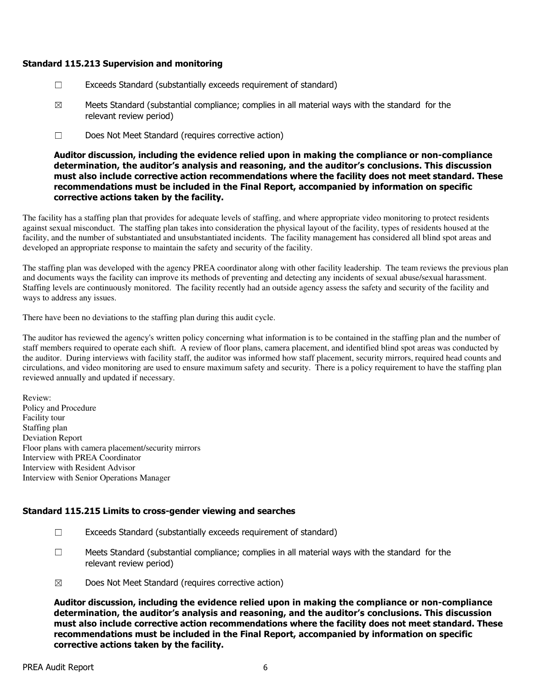### Standard 115.213 Supervision and monitoring

- $\Box$  Exceeds Standard (substantially exceeds requirement of standard)
- $\boxtimes$  Meets Standard (substantial compliance; complies in all material ways with the standard for the relevant review period)
- ☐ Does Not Meet Standard (requires corrective action)

Auditor discussion, including the evidence relied upon in making the compliance or non-compliance determination, the auditor's analysis and reasoning, and the auditor's conclusions. This discussion must also include corrective action recommendations where the facility does not meet standard. These recommendations must be included in the Final Report, accompanied by information on specific corrective actions taken by the facility.

The facility has a staffing plan that provides for adequate levels of staffing, and where appropriate video monitoring to protect residents against sexual misconduct. The staffing plan takes into consideration the physical layout of the facility, types of residents housed at the facility, and the number of substantiated and unsubstantiated incidents. The facility management has considered all blind spot areas and developed an appropriate response to maintain the safety and security of the facility.

The staffing plan was developed with the agency PREA coordinator along with other facility leadership. The team reviews the previous plan and documents ways the facility can improve its methods of preventing and detecting any incidents of sexual abuse/sexual harassment. Staffing levels are continuously monitored. The facility recently had an outside agency assess the safety and security of the facility and ways to address any issues.

There have been no deviations to the staffing plan during this audit cycle.

The auditor has reviewed the agency's written policy concerning what information is to be contained in the staffing plan and the number of staff members required to operate each shift. A review of floor plans, camera placement, and identified blind spot areas was conducted by the auditor. During interviews with facility staff, the auditor was informed how staff placement, security mirrors, required head counts and circulations, and video monitoring are used to ensure maximum safety and security. There is a policy requirement to have the staffing plan reviewed annually and updated if necessary.

Review: Policy and Procedure Facility tour Staffing plan Deviation Report Floor plans with camera placement/security mirrors Interview with PREA Coordinator Interview with Resident Advisor Interview with Senior Operations Manager

# Standard 115.215 Limits to cross-gender viewing and searches

- $\Box$  Exceeds Standard (substantially exceeds requirement of standard)
- ☐ Meets Standard (substantial compliance; complies in all material ways with the standard for the relevant review period)
- $\boxtimes$  Does Not Meet Standard (requires corrective action)

Auditor discussion, including the evidence relied upon in making the compliance or non-compliance determination, the auditor's analysis and reasoning, and the auditor's conclusions. This discussion must also include corrective action recommendations where the facility does not meet standard. These recommendations must be included in the Final Report, accompanied by information on specific corrective actions taken by the facility.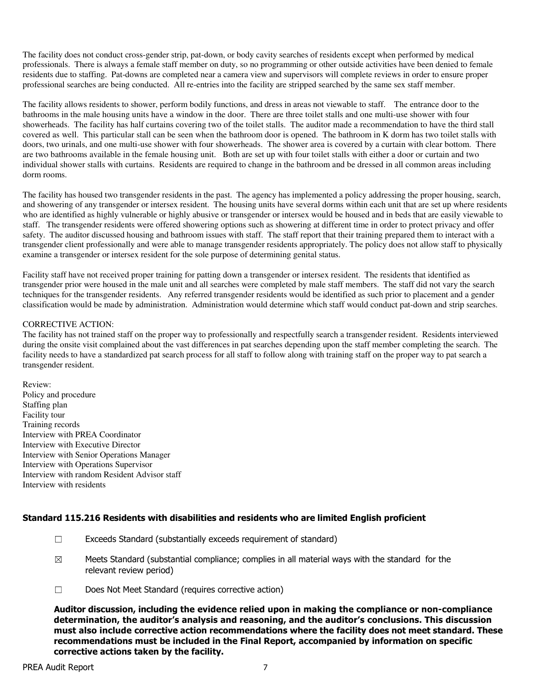The facility does not conduct cross-gender strip, pat-down, or body cavity searches of residents except when performed by medical professionals. There is always a female staff member on duty, so no programming or other outside activities have been denied to female residents due to staffing. Pat-downs are completed near a camera view and supervisors will complete reviews in order to ensure proper professional searches are being conducted. All re-entries into the facility are stripped searched by the same sex staff member.

The facility allows residents to shower, perform bodily functions, and dress in areas not viewable to staff. The entrance door to the bathrooms in the male housing units have a window in the door. There are three toilet stalls and one multi-use shower with four showerheads. The facility has half curtains covering two of the toilet stalls. The auditor made a recommendation to have the third stall covered as well. This particular stall can be seen when the bathroom door is opened. The bathroom in K dorm has two toilet stalls with doors, two urinals, and one multi-use shower with four showerheads. The shower area is covered by a curtain with clear bottom. There are two bathrooms available in the female housing unit. Both are set up with four toilet stalls with either a door or curtain and two individual shower stalls with curtains. Residents are required to change in the bathroom and be dressed in all common areas including dorm rooms.

The facility has housed two transgender residents in the past. The agency has implemented a policy addressing the proper housing, search, and showering of any transgender or intersex resident. The housing units have several dorms within each unit that are set up where residents who are identified as highly vulnerable or highly abusive or transgender or intersex would be housed and in beds that are easily viewable to staff. The transgender residents were offered showering options such as showering at different time in order to protect privacy and offer safety. The auditor discussed housing and bathroom issues with staff. The staff report that their training prepared them to interact with a transgender client professionally and were able to manage transgender residents appropriately. The policy does not allow staff to physically examine a transgender or intersex resident for the sole purpose of determining genital status.

Facility staff have not received proper training for patting down a transgender or intersex resident. The residents that identified as transgender prior were housed in the male unit and all searches were completed by male staff members. The staff did not vary the search techniques for the transgender residents. Any referred transgender residents would be identified as such prior to placement and a gender classification would be made by administration. Administration would determine which staff would conduct pat-down and strip searches.

#### CORRECTIVE ACTION:

The facility has not trained staff on the proper way to professionally and respectfully search a transgender resident. Residents interviewed during the onsite visit complained about the vast differences in pat searches depending upon the staff member completing the search. The facility needs to have a standardized pat search process for all staff to follow along with training staff on the proper way to pat search a transgender resident.

Review: Policy and procedure Staffing plan Facility tour Training records Interview with PREA Coordinator Interview with Executive Director Interview with Senior Operations Manager Interview with Operations Supervisor Interview with random Resident Advisor staff Interview with residents

#### Standard 115.216 Residents with disabilities and residents who are limited English proficient

- ☐ Exceeds Standard (substantially exceeds requirement of standard)
- $\boxtimes$  Meets Standard (substantial compliance; complies in all material ways with the standard for the relevant review period)
- ☐ Does Not Meet Standard (requires corrective action)

Auditor discussion, including the evidence relied upon in making the compliance or non-compliance determination, the auditor's analysis and reasoning, and the auditor's conclusions. This discussion must also include corrective action recommendations where the facility does not meet standard. These recommendations must be included in the Final Report, accompanied by information on specific corrective actions taken by the facility.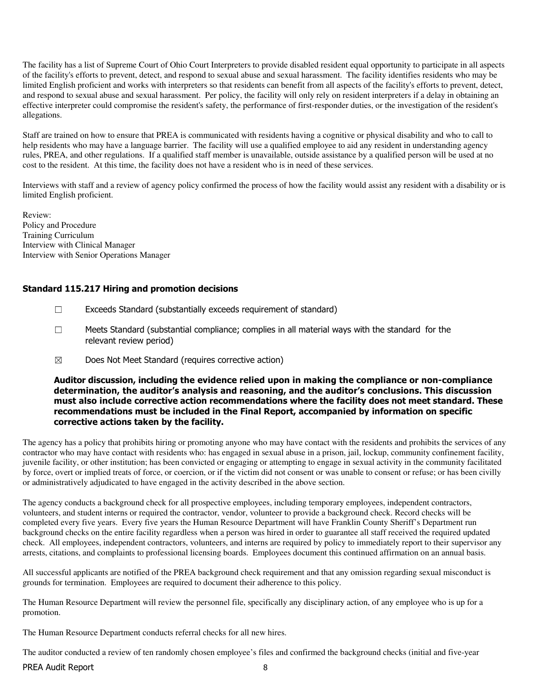The facility has a list of Supreme Court of Ohio Court Interpreters to provide disabled resident equal opportunity to participate in all aspects of the facility's efforts to prevent, detect, and respond to sexual abuse and sexual harassment. The facility identifies residents who may be limited English proficient and works with interpreters so that residents can benefit from all aspects of the facility's efforts to prevent, detect, and respond to sexual abuse and sexual harassment. Per policy, the facility will only rely on resident interpreters if a delay in obtaining an effective interpreter could compromise the resident's safety, the performance of first-responder duties, or the investigation of the resident's allegations.

Staff are trained on how to ensure that PREA is communicated with residents having a cognitive or physical disability and who to call to help residents who may have a language barrier. The facility will use a qualified employee to aid any resident in understanding agency rules, PREA, and other regulations. If a qualified staff member is unavailable, outside assistance by a qualified person will be used at no cost to the resident. At this time, the facility does not have a resident who is in need of these services.

Interviews with staff and a review of agency policy confirmed the process of how the facility would assist any resident with a disability or is limited English proficient.

Review: Policy and Procedure Training Curriculum Interview with Clinical Manager Interview with Senior Operations Manager

# Standard 115.217 Hiring and promotion decisions

- ☐ Exceeds Standard (substantially exceeds requirement of standard)
- ☐ Meets Standard (substantial compliance; complies in all material ways with the standard for the relevant review period)
- $\boxtimes$  Does Not Meet Standard (requires corrective action)

## Auditor discussion, including the evidence relied upon in making the compliance or non-compliance determination, the auditor's analysis and reasoning, and the auditor's conclusions. This discussion must also include corrective action recommendations where the facility does not meet standard. These recommendations must be included in the Final Report, accompanied by information on specific corrective actions taken by the facility.

The agency has a policy that prohibits hiring or promoting anyone who may have contact with the residents and prohibits the services of any contractor who may have contact with residents who: has engaged in sexual abuse in a prison, jail, lockup, community confinement facility, juvenile facility, or other institution; has been convicted or engaging or attempting to engage in sexual activity in the community facilitated by force, overt or implied treats of force, or coercion, or if the victim did not consent or was unable to consent or refuse; or has been civilly or administratively adjudicated to have engaged in the activity described in the above section.

The agency conducts a background check for all prospective employees, including temporary employees, independent contractors, volunteers, and student interns or required the contractor, vendor, volunteer to provide a background check. Record checks will be completed every five years. Every five years the Human Resource Department will have Franklin County Sheriff's Department run background checks on the entire facility regardless when a person was hired in order to guarantee all staff received the required updated check. All employees, independent contractors, volunteers, and interns are required by policy to immediately report to their supervisor any arrests, citations, and complaints to professional licensing boards. Employees document this continued affirmation on an annual basis.

All successful applicants are notified of the PREA background check requirement and that any omission regarding sexual misconduct is grounds for termination. Employees are required to document their adherence to this policy.

The Human Resource Department will review the personnel file, specifically any disciplinary action, of any employee who is up for a promotion.

The Human Resource Department conducts referral checks for all new hires.

The auditor conducted a review of ten randomly chosen employee's files and confirmed the background checks (initial and five-year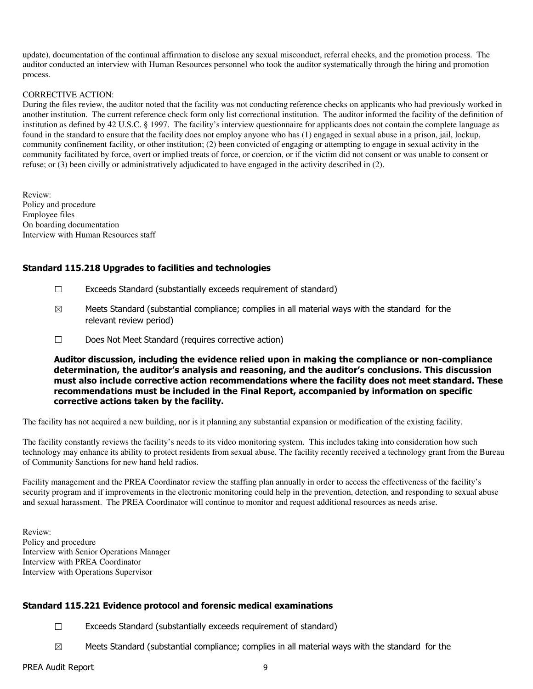update), documentation of the continual affirmation to disclose any sexual misconduct, referral checks, and the promotion process. The auditor conducted an interview with Human Resources personnel who took the auditor systematically through the hiring and promotion process.

#### CORRECTIVE ACTION:

During the files review, the auditor noted that the facility was not conducting reference checks on applicants who had previously worked in another institution. The current reference check form only list correctional institution. The auditor informed the facility of the definition of institution as defined by 42 U.S.C. § 1997. The facility's interview questionnaire for applicants does not contain the complete language as found in the standard to ensure that the facility does not employ anyone who has (1) engaged in sexual abuse in a prison, jail, lockup, community confinement facility, or other institution; (2) been convicted of engaging or attempting to engage in sexual activity in the community facilitated by force, overt or implied treats of force, or coercion, or if the victim did not consent or was unable to consent or refuse; or (3) been civilly or administratively adjudicated to have engaged in the activity described in (2).

Review: Policy and procedure Employee files On boarding documentation Interview with Human Resources staff

### Standard 115.218 Upgrades to facilities and technologies

- $\Box$  Exceeds Standard (substantially exceeds requirement of standard)
- $\boxtimes$  Meets Standard (substantial compliance; complies in all material ways with the standard for the relevant review period)
- ☐ Does Not Meet Standard (requires corrective action)

Auditor discussion, including the evidence relied upon in making the compliance or non-compliance determination, the auditor's analysis and reasoning, and the auditor's conclusions. This discussion must also include corrective action recommendations where the facility does not meet standard. These recommendations must be included in the Final Report, accompanied by information on specific corrective actions taken by the facility.

The facility has not acquired a new building, nor is it planning any substantial expansion or modification of the existing facility.

The facility constantly reviews the facility's needs to its video monitoring system. This includes taking into consideration how such technology may enhance its ability to protect residents from sexual abuse. The facility recently received a technology grant from the Bureau of Community Sanctions for new hand held radios.

Facility management and the PREA Coordinator review the staffing plan annually in order to access the effectiveness of the facility's security program and if improvements in the electronic monitoring could help in the prevention, detection, and responding to sexual abuse and sexual harassment. The PREA Coordinator will continue to monitor and request additional resources as needs arise.

Review: Policy and procedure Interview with Senior Operations Manager Interview with PREA Coordinator Interview with Operations Supervisor

# Standard 115.221 Evidence protocol and forensic medical examinations

- ☐ Exceeds Standard (substantially exceeds requirement of standard)
- $\boxtimes$  Meets Standard (substantial compliance; complies in all material ways with the standard for the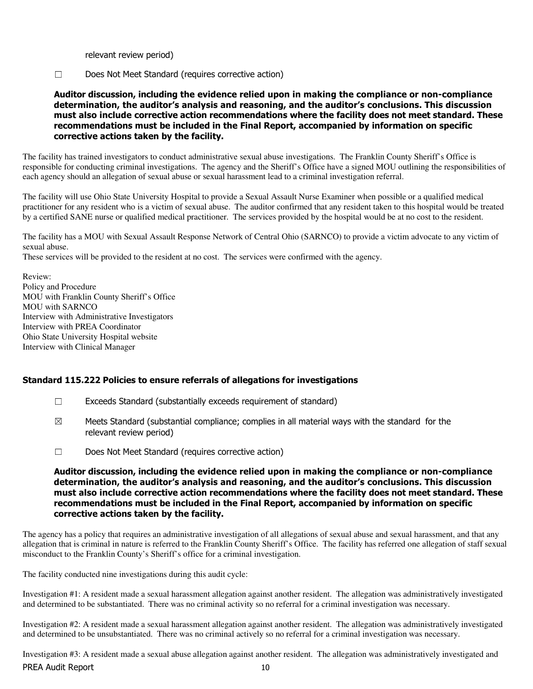relevant review period)

☐ Does Not Meet Standard (requires corrective action)

Auditor discussion, including the evidence relied upon in making the compliance or non-compliance determination, the auditor's analysis and reasoning, and the auditor's conclusions. This discussion must also include corrective action recommendations where the facility does not meet standard. These recommendations must be included in the Final Report, accompanied by information on specific corrective actions taken by the facility.

The facility has trained investigators to conduct administrative sexual abuse investigations. The Franklin County Sheriff's Office is responsible for conducting criminal investigations. The agency and the Sheriff's Office have a signed MOU outlining the responsibilities of each agency should an allegation of sexual abuse or sexual harassment lead to a criminal investigation referral.

The facility will use Ohio State University Hospital to provide a Sexual Assault Nurse Examiner when possible or a qualified medical practitioner for any resident who is a victim of sexual abuse. The auditor confirmed that any resident taken to this hospital would be treated by a certified SANE nurse or qualified medical practitioner. The services provided by the hospital would be at no cost to the resident.

The facility has a MOU with Sexual Assault Response Network of Central Ohio (SARNCO) to provide a victim advocate to any victim of sexual abuse.

These services will be provided to the resident at no cost. The services were confirmed with the agency.

Review: Policy and Procedure MOU with Franklin County Sheriff's Office MOU with SARNCO Interview with Administrative Investigators Interview with PREA Coordinator Ohio State University Hospital website Interview with Clinical Manager

# Standard 115.222 Policies to ensure referrals of allegations for investigations

- ☐ Exceeds Standard (substantially exceeds requirement of standard)
- $\boxtimes$  Meets Standard (substantial compliance; complies in all material ways with the standard for the relevant review period)
- ☐ Does Not Meet Standard (requires corrective action)

## Auditor discussion, including the evidence relied upon in making the compliance or non-compliance determination, the auditor's analysis and reasoning, and the auditor's conclusions. This discussion must also include corrective action recommendations where the facility does not meet standard. These recommendations must be included in the Final Report, accompanied by information on specific corrective actions taken by the facility.

The agency has a policy that requires an administrative investigation of all allegations of sexual abuse and sexual harassment, and that any allegation that is criminal in nature is referred to the Franklin County Sheriff's Office. The facility has referred one allegation of staff sexual misconduct to the Franklin County's Sheriff's office for a criminal investigation.

The facility conducted nine investigations during this audit cycle:

Investigation #1: A resident made a sexual harassment allegation against another resident. The allegation was administratively investigated and determined to be substantiated. There was no criminal activity so no referral for a criminal investigation was necessary.

Investigation #2: A resident made a sexual harassment allegation against another resident. The allegation was administratively investigated and determined to be unsubstantiated. There was no criminal actively so no referral for a criminal investigation was necessary.

PREA Audit Report 10 Investigation #3: A resident made a sexual abuse allegation against another resident. The allegation was administratively investigated and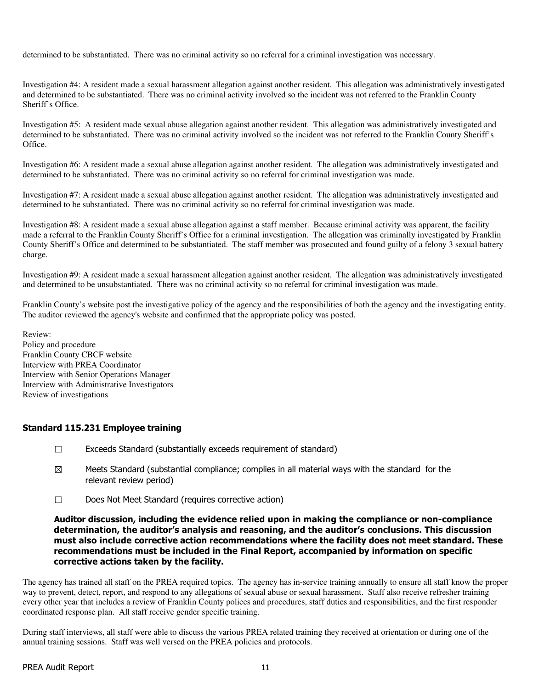determined to be substantiated. There was no criminal activity so no referral for a criminal investigation was necessary.

Investigation #4: A resident made a sexual harassment allegation against another resident. This allegation was administratively investigated and determined to be substantiated. There was no criminal activity involved so the incident was not referred to the Franklin County Sheriff's Office.

Investigation #5: A resident made sexual abuse allegation against another resident. This allegation was administratively investigated and determined to be substantiated. There was no criminal activity involved so the incident was not referred to the Franklin County Sheriff's Office.

Investigation #6: A resident made a sexual abuse allegation against another resident. The allegation was administratively investigated and determined to be substantiated. There was no criminal activity so no referral for criminal investigation was made.

Investigation #7: A resident made a sexual abuse allegation against another resident. The allegation was administratively investigated and determined to be substantiated. There was no criminal activity so no referral for criminal investigation was made.

Investigation #8: A resident made a sexual abuse allegation against a staff member. Because criminal activity was apparent, the facility made a referral to the Franklin County Sheriff's Office for a criminal investigation. The allegation was criminally investigated by Franklin County Sheriff's Office and determined to be substantiated. The staff member was prosecuted and found guilty of a felony 3 sexual battery charge.

Investigation #9: A resident made a sexual harassment allegation against another resident. The allegation was administratively investigated and determined to be unsubstantiated. There was no criminal activity so no referral for criminal investigation was made.

Franklin County's website post the investigative policy of the agency and the responsibilities of both the agency and the investigating entity. The auditor reviewed the agency's website and confirmed that the appropriate policy was posted.

Review: Policy and procedure Franklin County CBCF website Interview with PREA Coordinator Interview with Senior Operations Manager Interview with Administrative Investigators Review of investigations

# Standard 115.231 Employee training

- ☐ Exceeds Standard (substantially exceeds requirement of standard)
- $\boxtimes$  Meets Standard (substantial compliance; complies in all material ways with the standard for the relevant review period)
- ☐ Does Not Meet Standard (requires corrective action)

### Auditor discussion, including the evidence relied upon in making the compliance or non-compliance determination, the auditor's analysis and reasoning, and the auditor's conclusions. This discussion must also include corrective action recommendations where the facility does not meet standard. These recommendations must be included in the Final Report, accompanied by information on specific corrective actions taken by the facility.

The agency has trained all staff on the PREA required topics. The agency has in-service training annually to ensure all staff know the proper way to prevent, detect, report, and respond to any allegations of sexual abuse or sexual harassment. Staff also receive refresher training every other year that includes a review of Franklin County polices and procedures, staff duties and responsibilities, and the first responder coordinated response plan. All staff receive gender specific training.

During staff interviews, all staff were able to discuss the various PREA related training they received at orientation or during one of the annual training sessions. Staff was well versed on the PREA policies and protocols.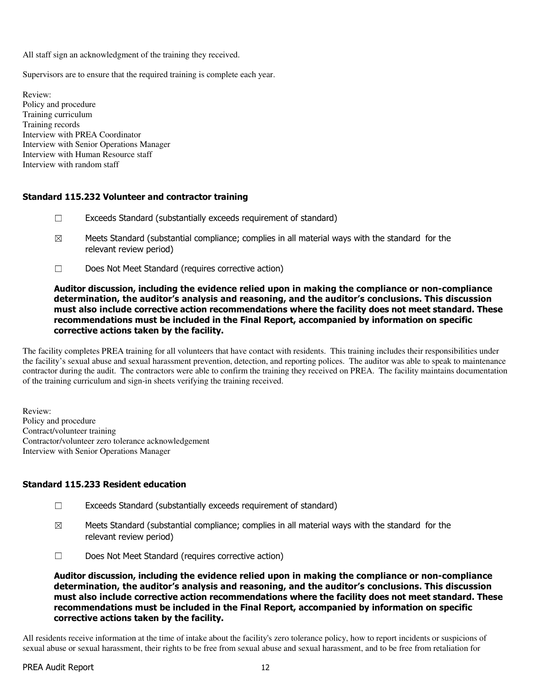All staff sign an acknowledgment of the training they received.

Supervisors are to ensure that the required training is complete each year.

Review: Policy and procedure Training curriculum Training records Interview with PREA Coordinator Interview with Senior Operations Manager Interview with Human Resource staff Interview with random staff

### Standard 115.232 Volunteer and contractor training

- $\Box$  Exceeds Standard (substantially exceeds requirement of standard)
- $\boxtimes$  Meets Standard (substantial compliance; complies in all material ways with the standard for the relevant review period)
- ☐ Does Not Meet Standard (requires corrective action)

### Auditor discussion, including the evidence relied upon in making the compliance or non-compliance determination, the auditor's analysis and reasoning, and the auditor's conclusions. This discussion must also include corrective action recommendations where the facility does not meet standard. These recommendations must be included in the Final Report, accompanied by information on specific corrective actions taken by the facility.

The facility completes PREA training for all volunteers that have contact with residents. This training includes their responsibilities under the facility's sexual abuse and sexual harassment prevention, detection, and reporting polices. The auditor was able to speak to maintenance contractor during the audit. The contractors were able to confirm the training they received on PREA. The facility maintains documentation of the training curriculum and sign-in sheets verifying the training received.

Review: Policy and procedure Contract/volunteer training Contractor/volunteer zero tolerance acknowledgement Interview with Senior Operations Manager

# Standard 115.233 Resident education

- ☐ Exceeds Standard (substantially exceeds requirement of standard)
- $\boxtimes$  Meets Standard (substantial compliance; complies in all material ways with the standard for the relevant review period)
- ☐ Does Not Meet Standard (requires corrective action)

Auditor discussion, including the evidence relied upon in making the compliance or non-compliance determination, the auditor's analysis and reasoning, and the auditor's conclusions. This discussion must also include corrective action recommendations where the facility does not meet standard. These recommendations must be included in the Final Report, accompanied by information on specific corrective actions taken by the facility.

All residents receive information at the time of intake about the facility's zero tolerance policy, how to report incidents or suspicions of sexual abuse or sexual harassment, their rights to be free from sexual abuse and sexual harassment, and to be free from retaliation for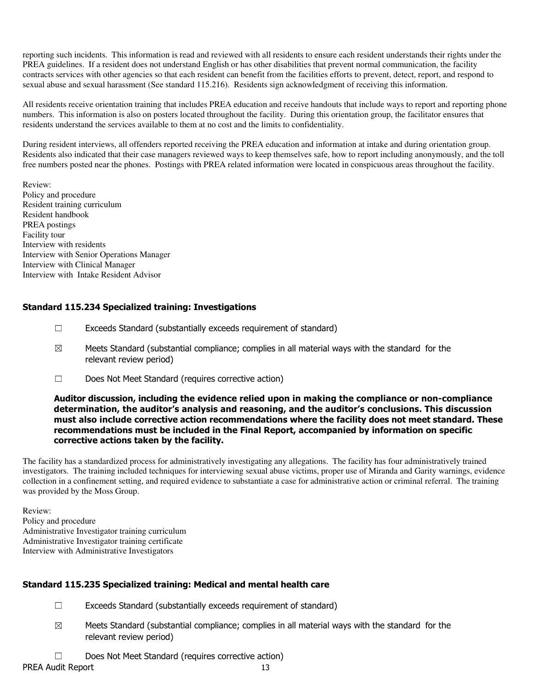reporting such incidents. This information is read and reviewed with all residents to ensure each resident understands their rights under the PREA guidelines. If a resident does not understand English or has other disabilities that prevent normal communication, the facility contracts services with other agencies so that each resident can benefit from the facilities efforts to prevent, detect, report, and respond to sexual abuse and sexual harassment (See standard 115.216). Residents sign acknowledgment of receiving this information.

All residents receive orientation training that includes PREA education and receive handouts that include ways to report and reporting phone numbers. This information is also on posters located throughout the facility. During this orientation group, the facilitator ensures that residents understand the services available to them at no cost and the limits to confidentiality.

During resident interviews, all offenders reported receiving the PREA education and information at intake and during orientation group. Residents also indicated that their case managers reviewed ways to keep themselves safe, how to report including anonymously, and the toll free numbers posted near the phones. Postings with PREA related information were located in conspicuous areas throughout the facility.

Review: Policy and procedure Resident training curriculum Resident handbook PREA postings Facility tour Interview with residents Interview with Senior Operations Manager Interview with Clinical Manager Interview with Intake Resident Advisor

# Standard 115.234 Specialized training: Investigations

- $\Box$  Exceeds Standard (substantially exceeds requirement of standard)
- $\boxtimes$  Meets Standard (substantial compliance; complies in all material ways with the standard for the relevant review period)
- ☐ Does Not Meet Standard (requires corrective action)

### Auditor discussion, including the evidence relied upon in making the compliance or non-compliance determination, the auditor's analysis and reasoning, and the auditor's conclusions. This discussion must also include corrective action recommendations where the facility does not meet standard. These recommendations must be included in the Final Report, accompanied by information on specific corrective actions taken by the facility.

The facility has a standardized process for administratively investigating any allegations. The facility has four administratively trained investigators. The training included techniques for interviewing sexual abuse victims, proper use of Miranda and Garity warnings, evidence collection in a confinement setting, and required evidence to substantiate a case for administrative action or criminal referral. The training was provided by the Moss Group.

Review: Policy and procedure Administrative Investigator training curriculum Administrative Investigator training certificate Interview with Administrative Investigators

# Standard 115.235 Specialized training: Medical and mental health care

- $\Box$  Exceeds Standard (substantially exceeds requirement of standard)
- $\boxtimes$  Meets Standard (substantial compliance; complies in all material ways with the standard for the relevant review period)
- ☐ Does Not Meet Standard (requires corrective action)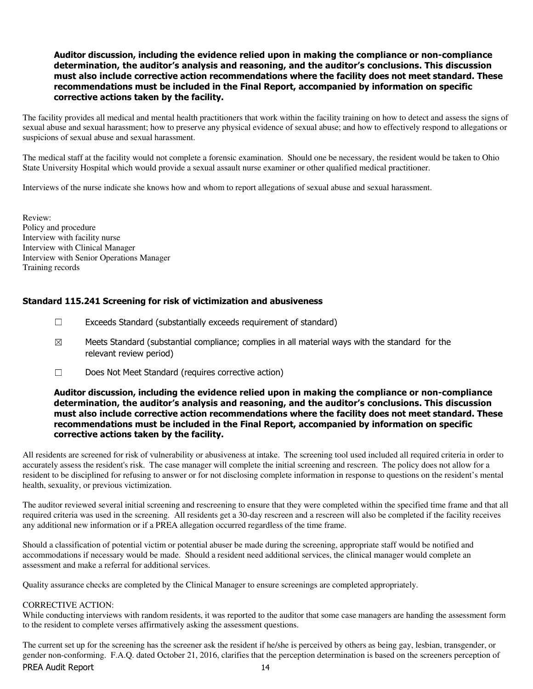## Auditor discussion, including the evidence relied upon in making the compliance or non-compliance determination, the auditor's analysis and reasoning, and the auditor's conclusions. This discussion must also include corrective action recommendations where the facility does not meet standard. These recommendations must be included in the Final Report, accompanied by information on specific corrective actions taken by the facility.

The facility provides all medical and mental health practitioners that work within the facility training on how to detect and assess the signs of sexual abuse and sexual harassment; how to preserve any physical evidence of sexual abuse; and how to effectively respond to allegations or suspicions of sexual abuse and sexual harassment.

The medical staff at the facility would not complete a forensic examination. Should one be necessary, the resident would be taken to Ohio State University Hospital which would provide a sexual assault nurse examiner or other qualified medical practitioner.

Interviews of the nurse indicate she knows how and whom to report allegations of sexual abuse and sexual harassment.

Review: Policy and procedure Interview with facility nurse Interview with Clinical Manager Interview with Senior Operations Manager Training records

### Standard 115.241 Screening for risk of victimization and abusiveness

- ☐ Exceeds Standard (substantially exceeds requirement of standard)
- $\boxtimes$  Meets Standard (substantial compliance; complies in all material ways with the standard for the relevant review period)
- ☐ Does Not Meet Standard (requires corrective action)

# Auditor discussion, including the evidence relied upon in making the compliance or non-compliance determination, the auditor's analysis and reasoning, and the auditor's conclusions. This discussion must also include corrective action recommendations where the facility does not meet standard. These recommendations must be included in the Final Report, accompanied by information on specific corrective actions taken by the facility.

All residents are screened for risk of vulnerability or abusiveness at intake. The screening tool used included all required criteria in order to accurately assess the resident's risk. The case manager will complete the initial screening and rescreen. The policy does not allow for a resident to be disciplined for refusing to answer or for not disclosing complete information in response to questions on the resident's mental health, sexuality, or previous victimization.

The auditor reviewed several initial screening and rescreening to ensure that they were completed within the specified time frame and that all required criteria was used in the screening. All residents get a 30-day rescreen and a rescreen will also be completed if the facility receives any additional new information or if a PREA allegation occurred regardless of the time frame.

Should a classification of potential victim or potential abuser be made during the screening, appropriate staff would be notified and accommodations if necessary would be made. Should a resident need additional services, the clinical manager would complete an assessment and make a referral for additional services.

Quality assurance checks are completed by the Clinical Manager to ensure screenings are completed appropriately.

#### CORRECTIVE ACTION:

While conducting interviews with random residents, it was reported to the auditor that some case managers are handing the assessment form to the resident to complete verses affirmatively asking the assessment questions.

The current set up for the screening has the screener ask the resident if he/she is perceived by others as being gay, lesbian, transgender, or gender non-conforming. F.A.Q. dated October 21, 2016, clarifies that the perception determination is based on the screeners perception of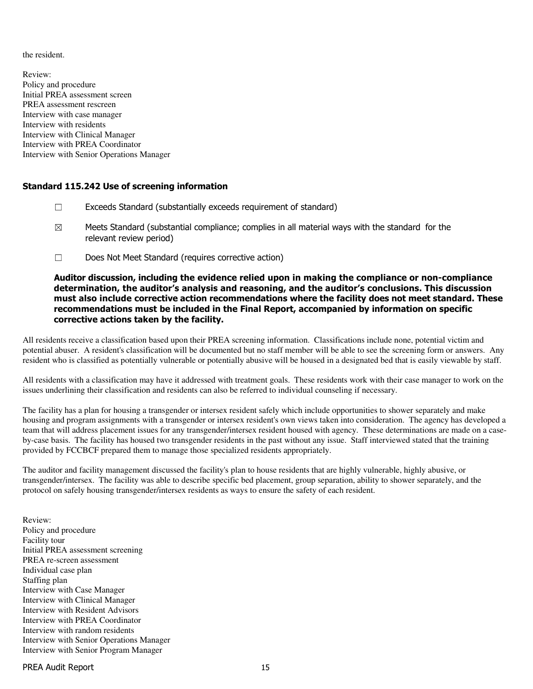the resident.

Review: Policy and procedure Initial PREA assessment screen PREA assessment rescreen Interview with case manager Interview with residents Interview with Clinical Manager Interview with PREA Coordinator Interview with Senior Operations Manager

# Standard 115.242 Use of screening information

- ☐ Exceeds Standard (substantially exceeds requirement of standard)
- $\boxtimes$  Meets Standard (substantial compliance; complies in all material ways with the standard for the relevant review period)
- ☐ Does Not Meet Standard (requires corrective action)

# Auditor discussion, including the evidence relied upon in making the compliance or non-compliance determination, the auditor's analysis and reasoning, and the auditor's conclusions. This discussion must also include corrective action recommendations where the facility does not meet standard. These recommendations must be included in the Final Report, accompanied by information on specific corrective actions taken by the facility.

All residents receive a classification based upon their PREA screening information. Classifications include none, potential victim and potential abuser. A resident's classification will be documented but no staff member will be able to see the screening form or answers. Any resident who is classified as potentially vulnerable or potentially abusive will be housed in a designated bed that is easily viewable by staff.

All residents with a classification may have it addressed with treatment goals. These residents work with their case manager to work on the issues underlining their classification and residents can also be referred to individual counseling if necessary.

The facility has a plan for housing a transgender or intersex resident safely which include opportunities to shower separately and make housing and program assignments with a transgender or intersex resident's own views taken into consideration. The agency has developed a team that will address placement issues for any transgender/intersex resident housed with agency. These determinations are made on a caseby-case basis. The facility has housed two transgender residents in the past without any issue. Staff interviewed stated that the training provided by FCCBCF prepared them to manage those specialized residents appropriately.

The auditor and facility management discussed the facility's plan to house residents that are highly vulnerable, highly abusive, or transgender/intersex. The facility was able to describe specific bed placement, group separation, ability to shower separately, and the protocol on safely housing transgender/intersex residents as ways to ensure the safety of each resident.

Review: Policy and procedure Facility tour Initial PREA assessment screening PREA re-screen assessment Individual case plan Staffing plan Interview with Case Manager Interview with Clinical Manager Interview with Resident Advisors Interview with PREA Coordinator Interview with random residents Interview with Senior Operations Manager Interview with Senior Program Manager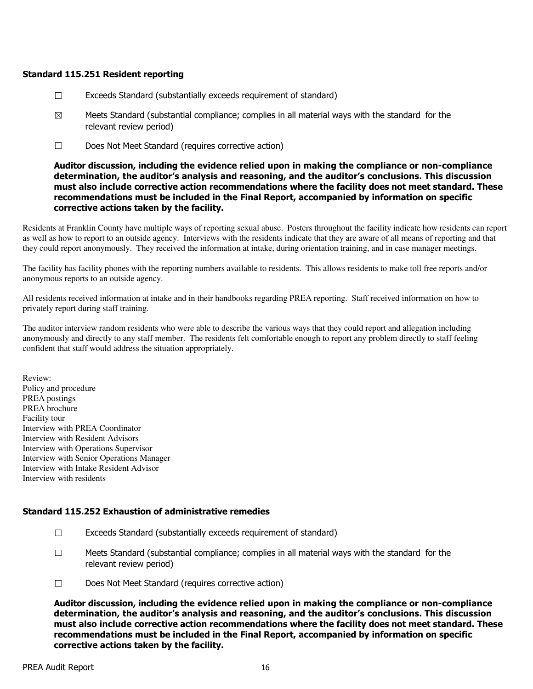# Standard 115.251 Resident reporting

- ☐ Exceeds Standard (substantially exceeds requirement of standard)
- $\boxtimes$  Meets Standard (substantial compliance; complies in all material ways with the standard for the relevant review period)
- ☐ Does Not Meet Standard (requires corrective action)

Auditor discussion, including the evidence relied upon in making the compliance or non-compliance determination, the auditor's analysis and reasoning, and the auditor's conclusions. This discussion must also include corrective action recommendations where the facility does not meet standard. These recommendations must be included in the Final Report, accompanied by information on specific corrective actions taken by the facility.

Residents at Franklin County have multiple ways of reporting sexual abuse. Posters throughout the facility indicate how residents can report as well as how to report to an outside agency. Interviews with the residents indicate that they are aware of all means of reporting and that they could report anonymously. They received the information at intake, during orientation training, and in case manager meetings.

The facility has facility phones with the reporting numbers available to residents. This allows residents to make toll free reports and/or anonymous reports to an outside agency.

All residents received information at intake and in their handbooks regarding PREA reporting. Staff received information on how to privately report during staff training.

The auditor interview random residents who were able to describe the various ways that they could report and allegation including anonymously and directly to any staff member. The residents felt comfortable enough to report any problem directly to staff feeling confident that staff would address the situation appropriately.

Review: Policy and procedure PREA postings PREA brochure Facility tour Interview with PREA Coordinator Interview with Resident Advisors Interview with Operations Supervisor Interview with Senior Operations Manager Interview with Intake Resident Advisor Interview with residents

# Standard 115.252 Exhaustion of administrative remedies

- ☐ Exceeds Standard (substantially exceeds requirement of standard)
- $\Box$  Meets Standard (substantial compliance; complies in all material ways with the standard for the relevant review period)
- ☐ Does Not Meet Standard (requires corrective action)

Auditor discussion, including the evidence relied upon in making the compliance or non-compliance determination, the auditor's analysis and reasoning, and the auditor's conclusions. This discussion must also include corrective action recommendations where the facility does not meet standard. These recommendations must be included in the Final Report, accompanied by information on specific corrective actions taken by the facility.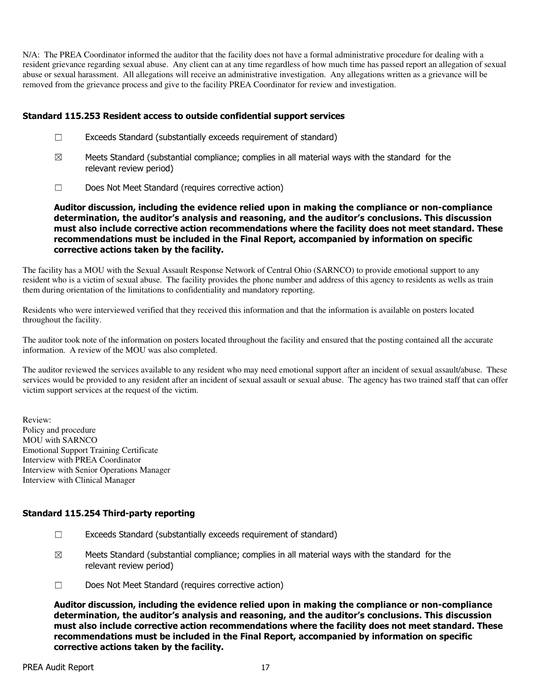N/A: The PREA Coordinator informed the auditor that the facility does not have a formal administrative procedure for dealing with a resident grievance regarding sexual abuse. Any client can at any time regardless of how much time has passed report an allegation of sexual abuse or sexual harassment. All allegations will receive an administrative investigation. Any allegations written as a grievance will be removed from the grievance process and give to the facility PREA Coordinator for review and investigation.

### Standard 115.253 Resident access to outside confidential support services

- $\Box$  Exceeds Standard (substantially exceeds requirement of standard)
- $\boxtimes$  Meets Standard (substantial compliance; complies in all material ways with the standard for the relevant review period)
- ☐ Does Not Meet Standard (requires corrective action)

Auditor discussion, including the evidence relied upon in making the compliance or non-compliance determination, the auditor's analysis and reasoning, and the auditor's conclusions. This discussion must also include corrective action recommendations where the facility does not meet standard. These recommendations must be included in the Final Report, accompanied by information on specific corrective actions taken by the facility.

The facility has a MOU with the Sexual Assault Response Network of Central Ohio (SARNCO) to provide emotional support to any resident who is a victim of sexual abuse. The facility provides the phone number and address of this agency to residents as wells as train them during orientation of the limitations to confidentiality and mandatory reporting.

Residents who were interviewed verified that they received this information and that the information is available on posters located throughout the facility.

The auditor took note of the information on posters located throughout the facility and ensured that the posting contained all the accurate information. A review of the MOU was also completed.

The auditor reviewed the services available to any resident who may need emotional support after an incident of sexual assault/abuse. These services would be provided to any resident after an incident of sexual assault or sexual abuse. The agency has two trained staff that can offer victim support services at the request of the victim.

Review: Policy and procedure MOU with SARNCO Emotional Support Training Certificate Interview with PREA Coordinator Interview with Senior Operations Manager Interview with Clinical Manager

#### Standard 115.254 Third-party reporting

- $\Box$  Exceeds Standard (substantially exceeds requirement of standard)
- $\boxtimes$  Meets Standard (substantial compliance; complies in all material ways with the standard for the relevant review period)
- ☐ Does Not Meet Standard (requires corrective action)

Auditor discussion, including the evidence relied upon in making the compliance or non-compliance determination, the auditor's analysis and reasoning, and the auditor's conclusions. This discussion must also include corrective action recommendations where the facility does not meet standard. These recommendations must be included in the Final Report, accompanied by information on specific corrective actions taken by the facility.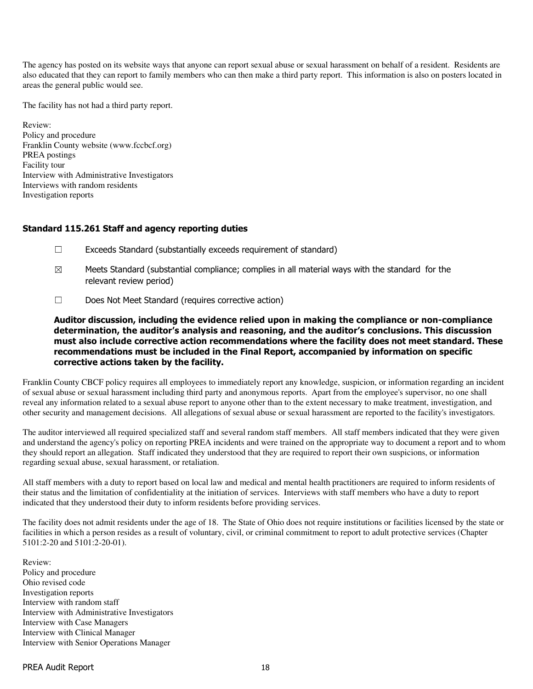The agency has posted on its website ways that anyone can report sexual abuse or sexual harassment on behalf of a resident. Residents are also educated that they can report to family members who can then make a third party report. This information is also on posters located in areas the general public would see.

The facility has not had a third party report.

Review: Policy and procedure Franklin County website (www.fccbcf.org) PREA postings Facility tour Interview with Administrative Investigators Interviews with random residents Investigation reports

### Standard 115.261 Staff and agency reporting duties

- ☐ Exceeds Standard (substantially exceeds requirement of standard)
- $\boxtimes$  Meets Standard (substantial compliance; complies in all material ways with the standard for the relevant review period)
- ☐ Does Not Meet Standard (requires corrective action)

Auditor discussion, including the evidence relied upon in making the compliance or non-compliance determination, the auditor's analysis and reasoning, and the auditor's conclusions. This discussion must also include corrective action recommendations where the facility does not meet standard. These recommendations must be included in the Final Report, accompanied by information on specific corrective actions taken by the facility.

Franklin County CBCF policy requires all employees to immediately report any knowledge, suspicion, or information regarding an incident of sexual abuse or sexual harassment including third party and anonymous reports. Apart from the employee's supervisor, no one shall reveal any information related to a sexual abuse report to anyone other than to the extent necessary to make treatment, investigation, and other security and management decisions. All allegations of sexual abuse or sexual harassment are reported to the facility's investigators.

The auditor interviewed all required specialized staff and several random staff members. All staff members indicated that they were given and understand the agency's policy on reporting PREA incidents and were trained on the appropriate way to document a report and to whom they should report an allegation. Staff indicated they understood that they are required to report their own suspicions, or information regarding sexual abuse, sexual harassment, or retaliation.

All staff members with a duty to report based on local law and medical and mental health practitioners are required to inform residents of their status and the limitation of confidentiality at the initiation of services. Interviews with staff members who have a duty to report indicated that they understood their duty to inform residents before providing services.

The facility does not admit residents under the age of 18. The State of Ohio does not require institutions or facilities licensed by the state or facilities in which a person resides as a result of voluntary, civil, or criminal commitment to report to adult protective services (Chapter 5101:2-20 and 5101:2-20-01).

Review: Policy and procedure Ohio revised code Investigation reports Interview with random staff Interview with Administrative Investigators Interview with Case Managers Interview with Clinical Manager Interview with Senior Operations Manager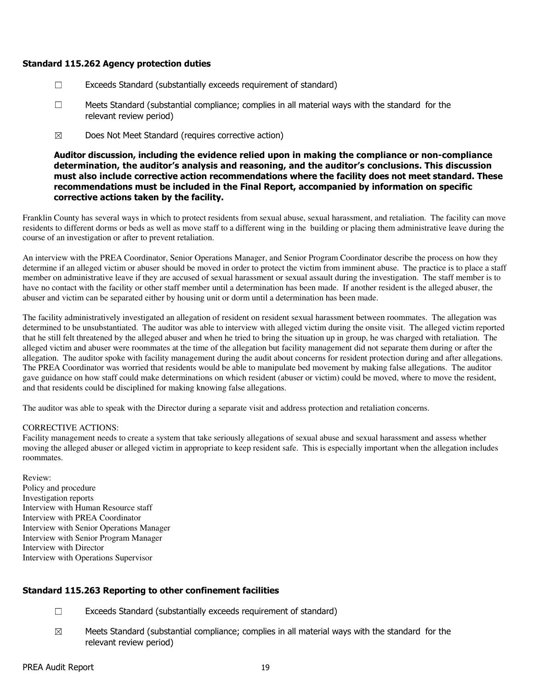## Standard 115.262 Agency protection duties

- $\Box$  Exceeds Standard (substantially exceeds requirement of standard)
- ☐ Meets Standard (substantial compliance; complies in all material ways with the standard for the relevant review period)
- ☒ Does Not Meet Standard (requires corrective action)

Auditor discussion, including the evidence relied upon in making the compliance or non-compliance determination, the auditor's analysis and reasoning, and the auditor's conclusions. This discussion must also include corrective action recommendations where the facility does not meet standard. These recommendations must be included in the Final Report, accompanied by information on specific corrective actions taken by the facility.

Franklin County has several ways in which to protect residents from sexual abuse, sexual harassment, and retaliation. The facility can move residents to different dorms or beds as well as move staff to a different wing in the building or placing them administrative leave during the course of an investigation or after to prevent retaliation.

An interview with the PREA Coordinator, Senior Operations Manager, and Senior Program Coordinator describe the process on how they determine if an alleged victim or abuser should be moved in order to protect the victim from imminent abuse. The practice is to place a staff member on administrative leave if they are accused of sexual harassment or sexual assault during the investigation. The staff member is to have no contact with the facility or other staff member until a determination has been made. If another resident is the alleged abuser, the abuser and victim can be separated either by housing unit or dorm until a determination has been made.

The facility administratively investigated an allegation of resident on resident sexual harassment between roommates. The allegation was determined to be unsubstantiated. The auditor was able to interview with alleged victim during the onsite visit. The alleged victim reported that he still felt threatened by the alleged abuser and when he tried to bring the situation up in group, he was charged with retaliation. The alleged victim and abuser were roommates at the time of the allegation but facility management did not separate them during or after the allegation. The auditor spoke with facility management during the audit about concerns for resident protection during and after allegations. The PREA Coordinator was worried that residents would be able to manipulate bed movement by making false allegations. The auditor gave guidance on how staff could make determinations on which resident (abuser or victim) could be moved, where to move the resident, and that residents could be disciplined for making knowing false allegations.

The auditor was able to speak with the Director during a separate visit and address protection and retaliation concerns.

#### CORRECTIVE ACTIONS:

Facility management needs to create a system that take seriously allegations of sexual abuse and sexual harassment and assess whether moving the alleged abuser or alleged victim in appropriate to keep resident safe. This is especially important when the allegation includes roommates.

Review: Policy and procedure Investigation reports Interview with Human Resource staff Interview with PREA Coordinator Interview with Senior Operations Manager Interview with Senior Program Manager Interview with Director Interview with Operations Supervisor

# Standard 115.263 Reporting to other confinement facilities

- ☐ Exceeds Standard (substantially exceeds requirement of standard)
- $\boxtimes$  Meets Standard (substantial compliance; complies in all material ways with the standard for the relevant review period)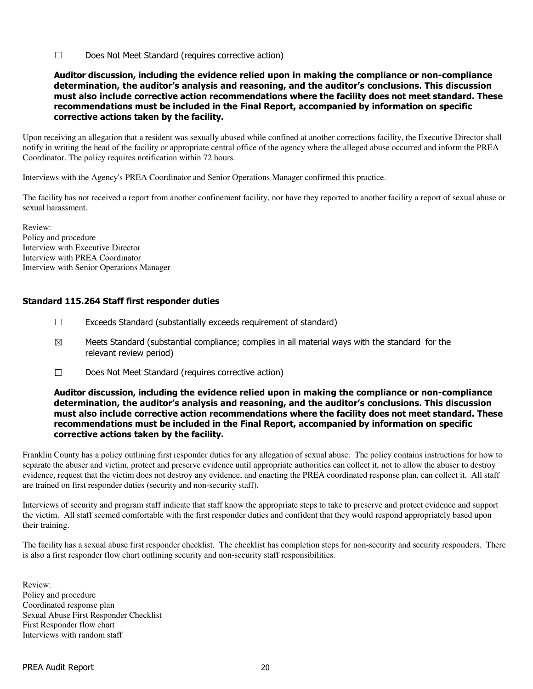☐ Does Not Meet Standard (requires corrective action)

## Auditor discussion, including the evidence relied upon in making the compliance or non-compliance determination, the auditor's analysis and reasoning, and the auditor's conclusions. This discussion must also include corrective action recommendations where the facility does not meet standard. These recommendations must be included in the Final Report, accompanied by information on specific corrective actions taken by the facility.

Upon receiving an allegation that a resident was sexually abused while confined at another corrections facility, the Executive Director shall notify in writing the head of the facility or appropriate central office of the agency where the alleged abuse occurred and inform the PREA Coordinator. The policy requires notification within 72 hours.

Interviews with the Agency's PREA Coordinator and Senior Operations Manager confirmed this practice.

The facility has not received a report from another confinement facility, nor have they reported to another facility a report of sexual abuse or sexual harassment.

Review: Policy and procedure Interview with Executive Director Interview with PREA Coordinator Interview with Senior Operations Manager

# Standard 115.264 Staff first responder duties

- ☐ Exceeds Standard (substantially exceeds requirement of standard)
- $\boxtimes$  Meets Standard (substantial compliance; complies in all material ways with the standard for the relevant review period)
- ☐ Does Not Meet Standard (requires corrective action)

# Auditor discussion, including the evidence relied upon in making the compliance or non-compliance determination, the auditor's analysis and reasoning, and the auditor's conclusions. This discussion must also include corrective action recommendations where the facility does not meet standard. These recommendations must be included in the Final Report, accompanied by information on specific corrective actions taken by the facility.

Franklin County has a policy outlining first responder duties for any allegation of sexual abuse. The policy contains instructions for how to separate the abuser and victim, protect and preserve evidence until appropriate authorities can collect it, not to allow the abuser to destroy evidence, request that the victim does not destroy any evidence, and enacting the PREA coordinated response plan, can collect it. All staff are trained on first responder duties (security and non-security staff).

Interviews of security and program staff indicate that staff know the appropriate steps to take to preserve and protect evidence and support the victim. All staff seemed comfortable with the first responder duties and confident that they would respond appropriately based upon their training.

The facility has a sexual abuse first responder checklist. The checklist has completion steps for non-security and security responders. There is also a first responder flow chart outlining security and non-security staff responsibilities.

Review: Policy and procedure Coordinated response plan Sexual Abuse First Responder Checklist First Responder flow chart Interviews with random staff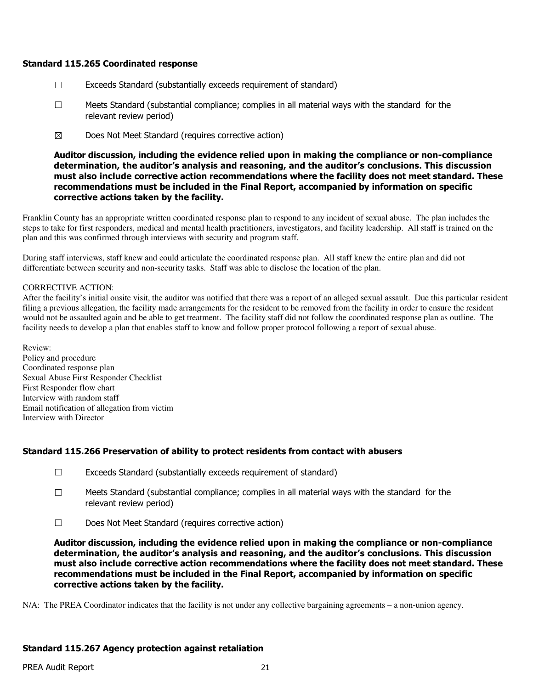### Standard 115.265 Coordinated response

- $\Box$  Exceeds Standard (substantially exceeds requirement of standard)
- ☐ Meets Standard (substantial compliance; complies in all material ways with the standard for the relevant review period)
- ☒ Does Not Meet Standard (requires corrective action)

Auditor discussion, including the evidence relied upon in making the compliance or non-compliance determination, the auditor's analysis and reasoning, and the auditor's conclusions. This discussion must also include corrective action recommendations where the facility does not meet standard. These recommendations must be included in the Final Report, accompanied by information on specific corrective actions taken by the facility.

Franklin County has an appropriate written coordinated response plan to respond to any incident of sexual abuse. The plan includes the steps to take for first responders, medical and mental health practitioners, investigators, and facility leadership. All staff is trained on the plan and this was confirmed through interviews with security and program staff.

During staff interviews, staff knew and could articulate the coordinated response plan. All staff knew the entire plan and did not differentiate between security and non-security tasks. Staff was able to disclose the location of the plan.

#### CORRECTIVE ACTION:

After the facility's initial onsite visit, the auditor was notified that there was a report of an alleged sexual assault. Due this particular resident filing a previous allegation, the facility made arrangements for the resident to be removed from the facility in order to ensure the resident would not be assaulted again and be able to get treatment. The facility staff did not follow the coordinated response plan as outline. The facility needs to develop a plan that enables staff to know and follow proper protocol following a report of sexual abuse.

Review: Policy and procedure Coordinated response plan Sexual Abuse First Responder Checklist First Responder flow chart Interview with random staff Email notification of allegation from victim Interview with Director

# Standard 115.266 Preservation of ability to protect residents from contact with abusers

- $\Box$  Exceeds Standard (substantially exceeds requirement of standard)
- ☐ Meets Standard (substantial compliance; complies in all material ways with the standard for the relevant review period)
- ☐ Does Not Meet Standard (requires corrective action)

Auditor discussion, including the evidence relied upon in making the compliance or non-compliance determination, the auditor's analysis and reasoning, and the auditor's conclusions. This discussion must also include corrective action recommendations where the facility does not meet standard. These recommendations must be included in the Final Report, accompanied by information on specific corrective actions taken by the facility.

N/A: The PREA Coordinator indicates that the facility is not under any collective bargaining agreements – a non-union agency.

# Standard 115.267 Agency protection against retaliation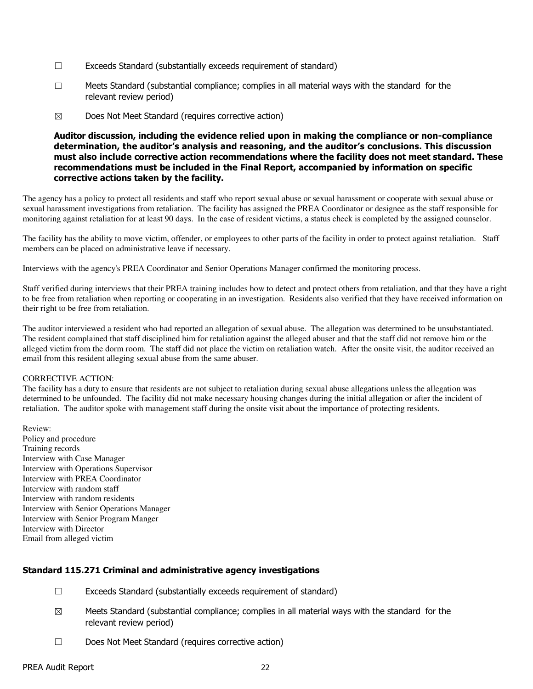- $\Box$  Exceeds Standard (substantially exceeds requirement of standard)
- ☐ Meets Standard (substantial compliance; complies in all material ways with the standard for the relevant review period)
- ☒ Does Not Meet Standard (requires corrective action)

### Auditor discussion, including the evidence relied upon in making the compliance or non-compliance determination, the auditor's analysis and reasoning, and the auditor's conclusions. This discussion must also include corrective action recommendations where the facility does not meet standard. These recommendations must be included in the Final Report, accompanied by information on specific corrective actions taken by the facility.

The agency has a policy to protect all residents and staff who report sexual abuse or sexual harassment or cooperate with sexual abuse or sexual harassment investigations from retaliation. The facility has assigned the PREA Coordinator or designee as the staff responsible for monitoring against retaliation for at least 90 days. In the case of resident victims, a status check is completed by the assigned counselor.

The facility has the ability to move victim, offender, or employees to other parts of the facility in order to protect against retaliation. Staff members can be placed on administrative leave if necessary.

Interviews with the agency's PREA Coordinator and Senior Operations Manager confirmed the monitoring process.

Staff verified during interviews that their PREA training includes how to detect and protect others from retaliation, and that they have a right to be free from retaliation when reporting or cooperating in an investigation. Residents also verified that they have received information on their right to be free from retaliation.

The auditor interviewed a resident who had reported an allegation of sexual abuse. The allegation was determined to be unsubstantiated. The resident complained that staff disciplined him for retaliation against the alleged abuser and that the staff did not remove him or the alleged victim from the dorm room. The staff did not place the victim on retaliation watch. After the onsite visit, the auditor received an email from this resident alleging sexual abuse from the same abuser.

#### CORRECTIVE ACTION:

The facility has a duty to ensure that residents are not subject to retaliation during sexual abuse allegations unless the allegation was determined to be unfounded. The facility did not make necessary housing changes during the initial allegation or after the incident of retaliation. The auditor spoke with management staff during the onsite visit about the importance of protecting residents.

Review: Policy and procedure Training records Interview with Case Manager Interview with Operations Supervisor Interview with PREA Coordinator Interview with random staff Interview with random residents Interview with Senior Operations Manager Interview with Senior Program Manger Interview with Director Email from alleged victim

### Standard 115.271 Criminal and administrative agency investigations

- $\Box$  Exceeds Standard (substantially exceeds requirement of standard)
- $\boxtimes$  Meets Standard (substantial compliance; complies in all material ways with the standard for the relevant review period)
- ☐ Does Not Meet Standard (requires corrective action)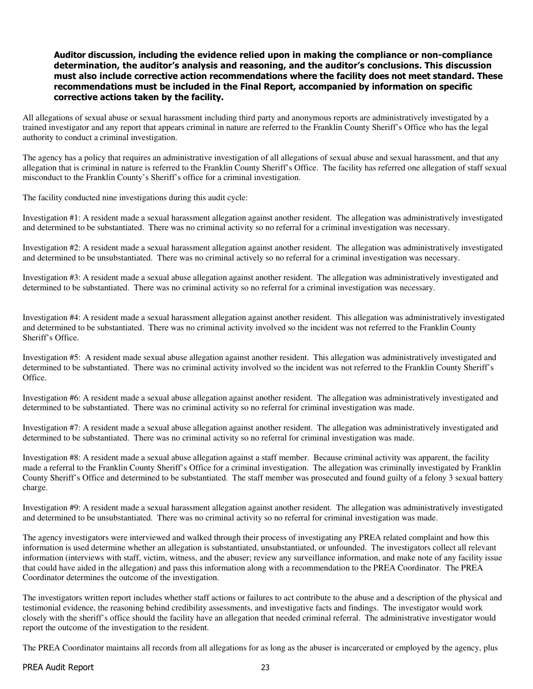### Auditor discussion, including the evidence relied upon in making the compliance or non-compliance determination, the auditor's analysis and reasoning, and the auditor's conclusions. This discussion must also include corrective action recommendations where the facility does not meet standard. These recommendations must be included in the Final Report, accompanied by information on specific corrective actions taken by the facility.

All allegations of sexual abuse or sexual harassment including third party and anonymous reports are administratively investigated by a trained investigator and any report that appears criminal in nature are referred to the Franklin County Sheriff's Office who has the legal authority to conduct a criminal investigation.

The agency has a policy that requires an administrative investigation of all allegations of sexual abuse and sexual harassment, and that any allegation that is criminal in nature is referred to the Franklin County Sheriff's Office. The facility has referred one allegation of staff sexual misconduct to the Franklin County's Sheriff's office for a criminal investigation.

The facility conducted nine investigations during this audit cycle:

Investigation #1: A resident made a sexual harassment allegation against another resident. The allegation was administratively investigated and determined to be substantiated. There was no criminal activity so no referral for a criminal investigation was necessary.

Investigation #2: A resident made a sexual harassment allegation against another resident. The allegation was administratively investigated and determined to be unsubstantiated. There was no criminal actively so no referral for a criminal investigation was necessary.

Investigation #3: A resident made a sexual abuse allegation against another resident. The allegation was administratively investigated and determined to be substantiated. There was no criminal activity so no referral for a criminal investigation was necessary.

Investigation #4: A resident made a sexual harassment allegation against another resident. This allegation was administratively investigated and determined to be substantiated. There was no criminal activity involved so the incident was not referred to the Franklin County Sheriff's Office.

Investigation #5: A resident made sexual abuse allegation against another resident. This allegation was administratively investigated and determined to be substantiated. There was no criminal activity involved so the incident was not referred to the Franklin County Sheriff's Office.

Investigation #6: A resident made a sexual abuse allegation against another resident. The allegation was administratively investigated and determined to be substantiated. There was no criminal activity so no referral for criminal investigation was made.

Investigation #7: A resident made a sexual abuse allegation against another resident. The allegation was administratively investigated and determined to be substantiated. There was no criminal activity so no referral for criminal investigation was made.

Investigation #8: A resident made a sexual abuse allegation against a staff member. Because criminal activity was apparent, the facility made a referral to the Franklin County Sheriff's Office for a criminal investigation. The allegation was criminally investigated by Franklin County Sheriff's Office and determined to be substantiated. The staff member was prosecuted and found guilty of a felony 3 sexual battery charge.

Investigation #9: A resident made a sexual harassment allegation against another resident. The allegation was administratively investigated and determined to be unsubstantiated. There was no criminal activity so no referral for criminal investigation was made.

The agency investigators were interviewed and walked through their process of investigating any PREA related complaint and how this information is used determine whether an allegation is substantiated, unsubstantiated, or unfounded. The investigators collect all relevant information (interviews with staff, victim, witness, and the abuser; review any surveillance information, and make note of any facility issue that could have aided in the allegation) and pass this information along with a recommendation to the PREA Coordinator. The PREA Coordinator determines the outcome of the investigation.

The investigators written report includes whether staff actions or failures to act contribute to the abuse and a description of the physical and testimonial evidence, the reasoning behind credibility assessments, and investigative facts and findings. The investigator would work closely with the sheriff's office should the facility have an allegation that needed criminal referral. The administrative investigator would report the outcome of the investigation to the resident.

The PREA Coordinator maintains all records from all allegations for as long as the abuser is incarcerated or employed by the agency, plus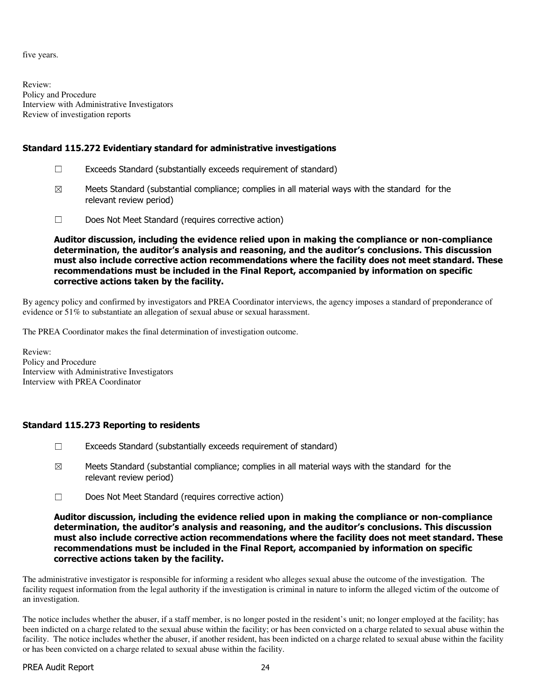five years.

Review: Policy and Procedure Interview with Administrative Investigators Review of investigation reports

# Standard 115.272 Evidentiary standard for administrative investigations

- $\Box$  Exceeds Standard (substantially exceeds requirement of standard)
- $\boxtimes$  Meets Standard (substantial compliance; complies in all material ways with the standard for the relevant review period)
- ☐ Does Not Meet Standard (requires corrective action)

Auditor discussion, including the evidence relied upon in making the compliance or non-compliance determination, the auditor's analysis and reasoning, and the auditor's conclusions. This discussion must also include corrective action recommendations where the facility does not meet standard. These recommendations must be included in the Final Report, accompanied by information on specific corrective actions taken by the facility.

By agency policy and confirmed by investigators and PREA Coordinator interviews, the agency imposes a standard of preponderance of evidence or 51% to substantiate an allegation of sexual abuse or sexual harassment.

The PREA Coordinator makes the final determination of investigation outcome.

Review: Policy and Procedure Interview with Administrative Investigators Interview with PREA Coordinator

# Standard 115.273 Reporting to residents

- $\Box$  Exceeds Standard (substantially exceeds requirement of standard)
- $\boxtimes$  Meets Standard (substantial compliance; complies in all material ways with the standard for the relevant review period)
- ☐ Does Not Meet Standard (requires corrective action)

Auditor discussion, including the evidence relied upon in making the compliance or non-compliance determination, the auditor's analysis and reasoning, and the auditor's conclusions. This discussion must also include corrective action recommendations where the facility does not meet standard. These recommendations must be included in the Final Report, accompanied by information on specific corrective actions taken by the facility.

The administrative investigator is responsible for informing a resident who alleges sexual abuse the outcome of the investigation. The facility request information from the legal authority if the investigation is criminal in nature to inform the alleged victim of the outcome of an investigation.

The notice includes whether the abuser, if a staff member, is no longer posted in the resident's unit; no longer employed at the facility; has been indicted on a charge related to the sexual abuse within the facility; or has been convicted on a charge related to sexual abuse within the facility. The notice includes whether the abuser, if another resident, has been indicted on a charge related to sexual abuse within the facility or has been convicted on a charge related to sexual abuse within the facility.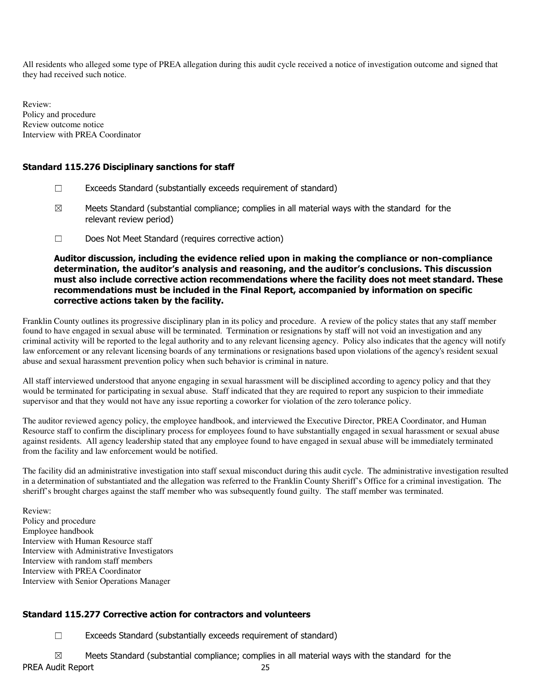All residents who alleged some type of PREA allegation during this audit cycle received a notice of investigation outcome and signed that they had received such notice.

Review: Policy and procedure Review outcome notice Interview with PREA Coordinator

# Standard 115.276 Disciplinary sanctions for staff

- ☐ Exceeds Standard (substantially exceeds requirement of standard)
- $\boxtimes$  Meets Standard (substantial compliance; complies in all material ways with the standard for the relevant review period)
- ☐ Does Not Meet Standard (requires corrective action)

Auditor discussion, including the evidence relied upon in making the compliance or non-compliance determination, the auditor's analysis and reasoning, and the auditor's conclusions. This discussion must also include corrective action recommendations where the facility does not meet standard. These recommendations must be included in the Final Report, accompanied by information on specific corrective actions taken by the facility.

Franklin County outlines its progressive disciplinary plan in its policy and procedure. A review of the policy states that any staff member found to have engaged in sexual abuse will be terminated. Termination or resignations by staff will not void an investigation and any criminal activity will be reported to the legal authority and to any relevant licensing agency. Policy also indicates that the agency will notify law enforcement or any relevant licensing boards of any terminations or resignations based upon violations of the agency's resident sexual abuse and sexual harassment prevention policy when such behavior is criminal in nature.

All staff interviewed understood that anyone engaging in sexual harassment will be disciplined according to agency policy and that they would be terminated for participating in sexual abuse. Staff indicated that they are required to report any suspicion to their immediate supervisor and that they would not have any issue reporting a coworker for violation of the zero tolerance policy.

The auditor reviewed agency policy, the employee handbook, and interviewed the Executive Director, PREA Coordinator, and Human Resource staff to confirm the disciplinary process for employees found to have substantially engaged in sexual harassment or sexual abuse against residents. All agency leadership stated that any employee found to have engaged in sexual abuse will be immediately terminated from the facility and law enforcement would be notified.

The facility did an administrative investigation into staff sexual misconduct during this audit cycle. The administrative investigation resulted in a determination of substantiated and the allegation was referred to the Franklin County Sheriff's Office for a criminal investigation. The sheriff's brought charges against the staff member who was subsequently found guilty. The staff member was terminated.

Review: Policy and procedure Employee handbook Interview with Human Resource staff Interview with Administrative Investigators Interview with random staff members Interview with PREA Coordinator Interview with Senior Operations Manager

# Standard 115.277 Corrective action for contractors and volunteers

☐ Exceeds Standard (substantially exceeds requirement of standard)

PREA Audit Report 25  $\boxtimes$  Meets Standard (substantial compliance; complies in all material ways with the standard for the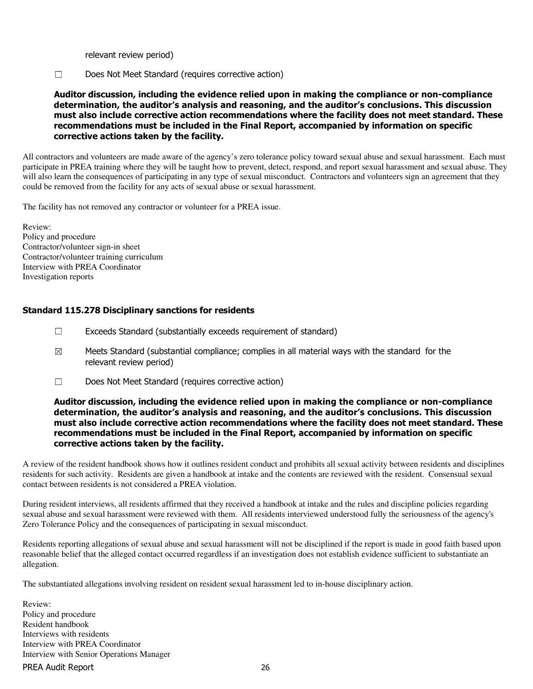relevant review period)

☐ Does Not Meet Standard (requires corrective action)

Auditor discussion, including the evidence relied upon in making the compliance or non-compliance determination, the auditor's analysis and reasoning, and the auditor's conclusions. This discussion must also include corrective action recommendations where the facility does not meet standard. These recommendations must be included in the Final Report, accompanied by information on specific corrective actions taken by the facility.

All contractors and volunteers are made aware of the agency's zero tolerance policy toward sexual abuse and sexual harassment. Each must participate in PREA training where they will be taught how to prevent, detect, respond, and report sexual harassment and sexual abuse. They will also learn the consequences of participating in any type of sexual misconduct. Contractors and volunteers sign an agreement that they could be removed from the facility for any acts of sexual abuse or sexual harassment.

The facility has not removed any contractor or volunteer for a PREA issue.

Review: Policy and procedure Contractor/volunteer sign-in sheet Contractor/volunteer training curriculum Interview with PREA Coordinator Investigation reports

### Standard 115.278 Disciplinary sanctions for residents

- ☐ Exceeds Standard (substantially exceeds requirement of standard)
- $\boxtimes$  Meets Standard (substantial compliance; complies in all material ways with the standard for the relevant review period)
- ☐ Does Not Meet Standard (requires corrective action)

## Auditor discussion, including the evidence relied upon in making the compliance or non-compliance determination, the auditor's analysis and reasoning, and the auditor's conclusions. This discussion must also include corrective action recommendations where the facility does not meet standard. These recommendations must be included in the Final Report, accompanied by information on specific corrective actions taken by the facility.

A review of the resident handbook shows how it outlines resident conduct and prohibits all sexual activity between residents and disciplines residents for such activity. Residents are given a handbook at intake and the contents are reviewed with the resident. Consensual sexual contact between residents is not considered a PREA violation.

During resident interviews, all residents affirmed that they received a handbook at intake and the rules and discipline policies regarding sexual abuse and sexual harassment were reviewed with them. All residents interviewed understood fully the seriousness of the agency's Zero Tolerance Policy and the consequences of participating in sexual misconduct.

Residents reporting allegations of sexual abuse and sexual harassment will not be disciplined if the report is made in good faith based upon reasonable belief that the alleged contact occurred regardless if an investigation does not establish evidence sufficient to substantiate an allegation.

The substantiated allegations involving resident on resident sexual harassment led to in-house disciplinary action.

PREA Audit Report 26 Review: Policy and procedure Resident handbook Interviews with residents Interview with PREA Coordinator Interview with Senior Operations Manager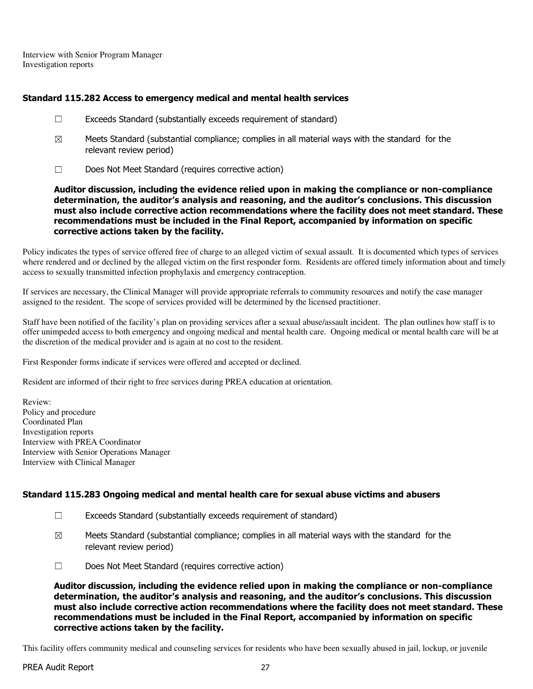Interview with Senior Program Manager Investigation reports

# Standard 115.282 Access to emergency medical and mental health services

- ☐ Exceeds Standard (substantially exceeds requirement of standard)
- $\boxtimes$  Meets Standard (substantial compliance; complies in all material ways with the standard for the relevant review period)
- ☐ Does Not Meet Standard (requires corrective action)

Auditor discussion, including the evidence relied upon in making the compliance or non-compliance determination, the auditor's analysis and reasoning, and the auditor's conclusions. This discussion must also include corrective action recommendations where the facility does not meet standard. These recommendations must be included in the Final Report, accompanied by information on specific corrective actions taken by the facility.

Policy indicates the types of service offered free of charge to an alleged victim of sexual assault. It is documented which types of services where rendered and or declined by the alleged victim on the first responder form. Residents are offered timely information about and timely access to sexually transmitted infection prophylaxis and emergency contraception.

If services are necessary, the Clinical Manager will provide appropriate referrals to community resources and notify the case manager assigned to the resident. The scope of services provided will be determined by the licensed practitioner.

Staff have been notified of the facility's plan on providing services after a sexual abuse/assault incident. The plan outlines how staff is to offer unimpeded access to both emergency and ongoing medical and mental health care. Ongoing medical or mental health care will be at the discretion of the medical provider and is again at no cost to the resident.

First Responder forms indicate if services were offered and accepted or declined.

Resident are informed of their right to free services during PREA education at orientation.

Review: Policy and procedure Coordinated Plan Investigation reports Interview with PREA Coordinator Interview with Senior Operations Manager Interview with Clinical Manager

# Standard 115.283 Ongoing medical and mental health care for sexual abuse victims and abusers

- ☐ Exceeds Standard (substantially exceeds requirement of standard)
- $\boxtimes$  Meets Standard (substantial compliance; complies in all material ways with the standard for the relevant review period)
- ☐ Does Not Meet Standard (requires corrective action)

Auditor discussion, including the evidence relied upon in making the compliance or non-compliance determination, the auditor's analysis and reasoning, and the auditor's conclusions. This discussion must also include corrective action recommendations where the facility does not meet standard. These recommendations must be included in the Final Report, accompanied by information on specific corrective actions taken by the facility.

This facility offers community medical and counseling services for residents who have been sexually abused in jail, lockup, or juvenile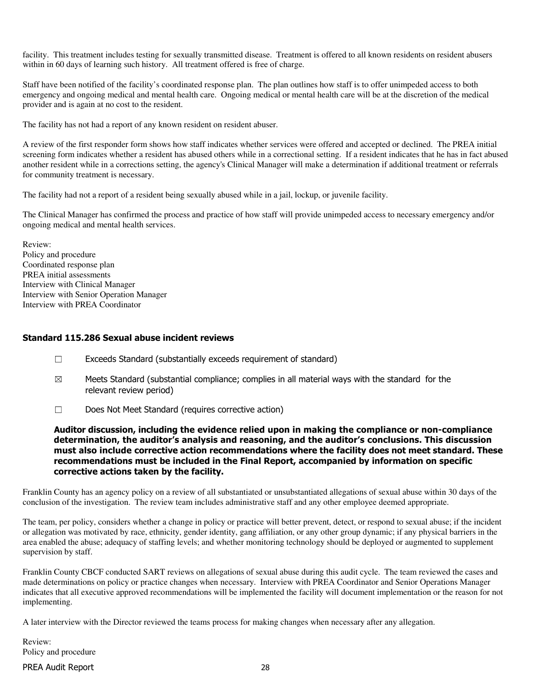facility. This treatment includes testing for sexually transmitted disease. Treatment is offered to all known residents on resident abusers within in 60 days of learning such history. All treatment offered is free of charge.

Staff have been notified of the facility's coordinated response plan. The plan outlines how staff is to offer unimpeded access to both emergency and ongoing medical and mental health care. Ongoing medical or mental health care will be at the discretion of the medical provider and is again at no cost to the resident.

The facility has not had a report of any known resident on resident abuser.

A review of the first responder form shows how staff indicates whether services were offered and accepted or declined. The PREA initial screening form indicates whether a resident has abused others while in a correctional setting. If a resident indicates that he has in fact abused another resident while in a corrections setting, the agency's Clinical Manager will make a determination if additional treatment or referrals for community treatment is necessary.

The facility had not a report of a resident being sexually abused while in a jail, lockup, or juvenile facility.

The Clinical Manager has confirmed the process and practice of how staff will provide unimpeded access to necessary emergency and/or ongoing medical and mental health services.

Review: Policy and procedure Coordinated response plan PREA initial assessments Interview with Clinical Manager Interview with Senior Operation Manager Interview with PREA Coordinator

#### Standard 115.286 Sexual abuse incident reviews

- ☐ Exceeds Standard (substantially exceeds requirement of standard)
- $\boxtimes$  Meets Standard (substantial compliance; complies in all material ways with the standard for the relevant review period)
- ☐ Does Not Meet Standard (requires corrective action)

Auditor discussion, including the evidence relied upon in making the compliance or non-compliance determination, the auditor's analysis and reasoning, and the auditor's conclusions. This discussion must also include corrective action recommendations where the facility does not meet standard. These recommendations must be included in the Final Report, accompanied by information on specific corrective actions taken by the facility.

Franklin County has an agency policy on a review of all substantiated or unsubstantiated allegations of sexual abuse within 30 days of the conclusion of the investigation. The review team includes administrative staff and any other employee deemed appropriate.

The team, per policy, considers whether a change in policy or practice will better prevent, detect, or respond to sexual abuse; if the incident or allegation was motivated by race, ethnicity, gender identity, gang affiliation, or any other group dynamic; if any physical barriers in the area enabled the abuse; adequacy of staffing levels; and whether monitoring technology should be deployed or augmented to supplement supervision by staff.

Franklin County CBCF conducted SART reviews on allegations of sexual abuse during this audit cycle. The team reviewed the cases and made determinations on policy or practice changes when necessary. Interview with PREA Coordinator and Senior Operations Manager indicates that all executive approved recommendations will be implemented the facility will document implementation or the reason for not implementing.

A later interview with the Director reviewed the teams process for making changes when necessary after any allegation.

Review: Policy and procedure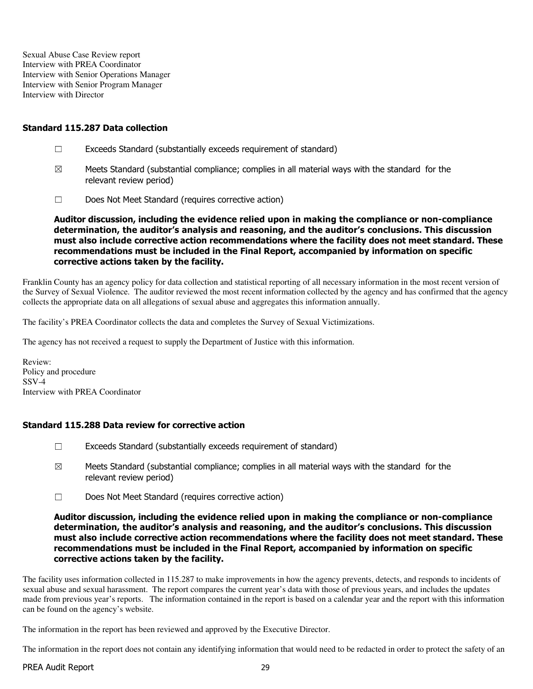Sexual Abuse Case Review report Interview with PREA Coordinator Interview with Senior Operations Manager Interview with Senior Program Manager Interview with Director

### Standard 115.287 Data collection

- ☐ Exceeds Standard (substantially exceeds requirement of standard)
- $\boxtimes$  Meets Standard (substantial compliance; complies in all material ways with the standard for the relevant review period)
- ☐ Does Not Meet Standard (requires corrective action)

Auditor discussion, including the evidence relied upon in making the compliance or non-compliance determination, the auditor's analysis and reasoning, and the auditor's conclusions. This discussion must also include corrective action recommendations where the facility does not meet standard. These recommendations must be included in the Final Report, accompanied by information on specific corrective actions taken by the facility.

Franklin County has an agency policy for data collection and statistical reporting of all necessary information in the most recent version of the Survey of Sexual Violence. The auditor reviewed the most recent information collected by the agency and has confirmed that the agency collects the appropriate data on all allegations of sexual abuse and aggregates this information annually.

The facility's PREA Coordinator collects the data and completes the Survey of Sexual Victimizations.

The agency has not received a request to supply the Department of Justice with this information.

Review: Policy and procedure SSV-4 Interview with PREA Coordinator

# Standard 115.288 Data review for corrective action

- $\Box$  Exceeds Standard (substantially exceeds requirement of standard)
- $\boxtimes$  Meets Standard (substantial compliance; complies in all material ways with the standard for the relevant review period)
- ☐ Does Not Meet Standard (requires corrective action)

### Auditor discussion, including the evidence relied upon in making the compliance or non-compliance determination, the auditor's analysis and reasoning, and the auditor's conclusions. This discussion must also include corrective action recommendations where the facility does not meet standard. These recommendations must be included in the Final Report, accompanied by information on specific corrective actions taken by the facility.

The facility uses information collected in 115.287 to make improvements in how the agency prevents, detects, and responds to incidents of sexual abuse and sexual harassment. The report compares the current year's data with those of previous years, and includes the updates made from previous year's reports. The information contained in the report is based on a calendar year and the report with this information can be found on the agency's website.

The information in the report has been reviewed and approved by the Executive Director.

The information in the report does not contain any identifying information that would need to be redacted in order to protect the safety of an